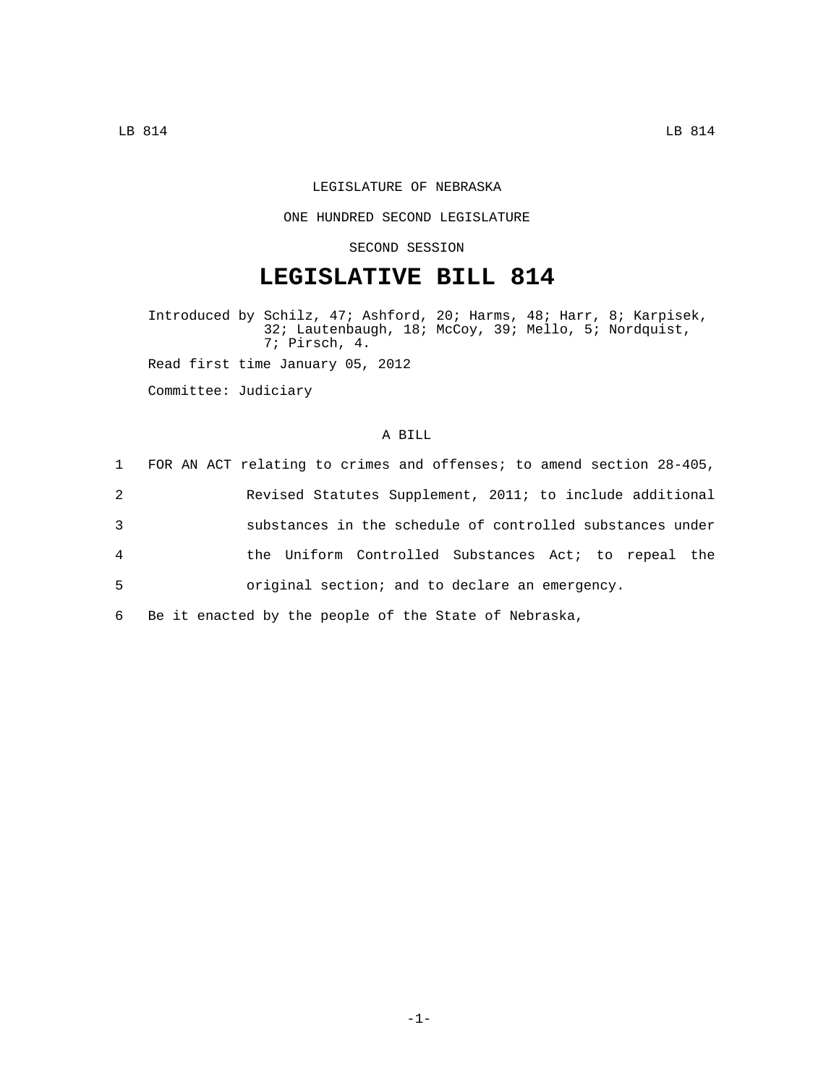## LEGISLATURE OF NEBRASKA

## ONE HUNDRED SECOND LEGISLATURE

## SECOND SESSION

# **LEGISLATIVE BILL 814**

Introduced by Schilz, 47; Ashford, 20; Harms, 48; Harr, 8; Karpisek, 32; Lautenbaugh, 18; McCoy, 39; Mello, 5; Nordquist, 7; Pirsch, 4. Read first time January 05, 2012

Committee: Judiciary

## A BILL

|                | 1 FOR AN ACT relating to crimes and offenses; to amend section 28-405, |
|----------------|------------------------------------------------------------------------|
| 2              | Revised Statutes Supplement, 2011; to include additional               |
| 3              | substances in the schedule of controlled substances under              |
| $\overline{4}$ | the Uniform Controlled Substances Act; to repeal the                   |
| -5             | original section; and to declare an emergency.                         |
|                |                                                                        |

6 Be it enacted by the people of the State of Nebraska,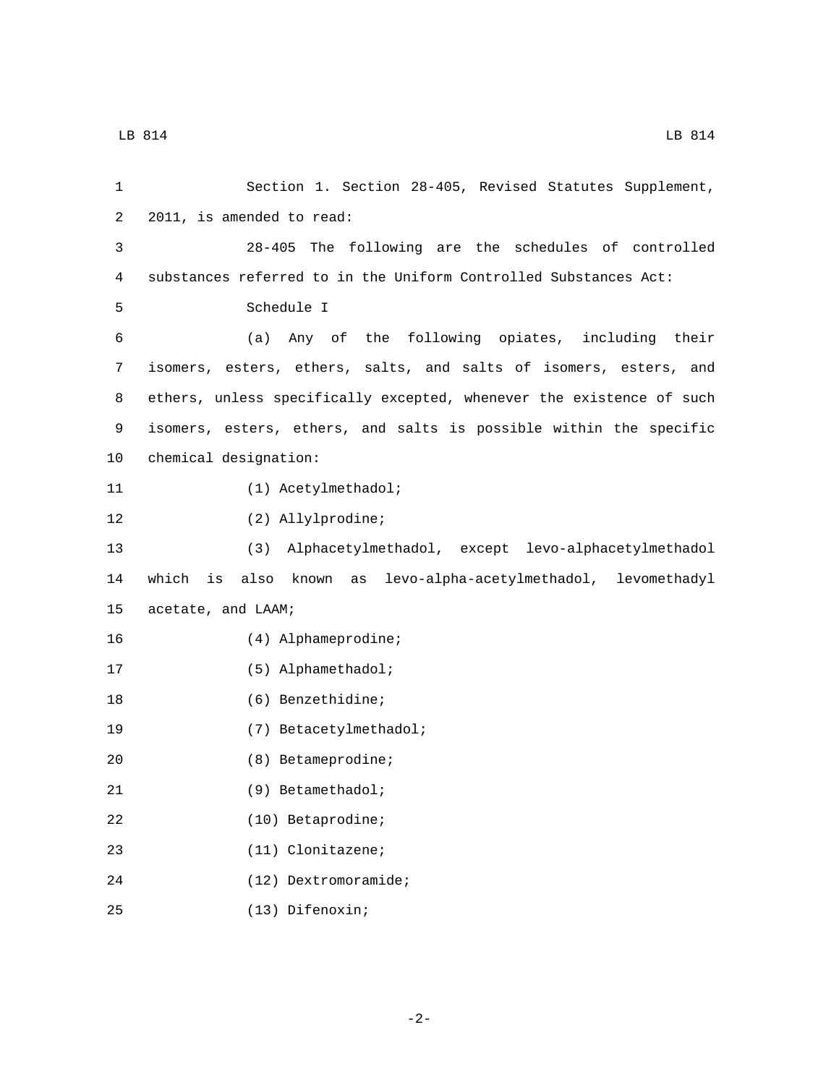| 2011, is amended to read:<br>2<br>28-405 The following are the schedules of controlled<br>3<br>substances referred to in the Uniform Controlled Substances Act:<br>4<br>Schedule I<br>5<br>(a) Any of the following opiates, including their<br>6<br>isomers, esters, ethers, salts, and salts of isomers, esters, and<br>7<br>ethers, unless specifically excepted, whenever the existence of such<br>8<br>isomers, esters, ethers, and salts is possible within the specific<br>9<br>chemical designation:<br>10<br>(1) Acetylmethadol;<br>11<br>(2) Allylprodine;<br>12<br>13<br>(3)<br>Alphacetylmethadol, except levo-alphacetylmethadol<br>which<br>also known as levo-alpha-acetylmethadol, levomethadyl<br>14<br>is<br>15<br>acetate, and LAAM;<br>(4) Alphameprodine;<br>16<br>(5) Alphamethadol;<br>17<br>(6) Benzethidine;<br>18<br>19<br>(7) Betacetylmethadol;<br>20<br>(8) Betameprodine;<br>21<br>(9) Betamethadol;<br>22<br>$(10)$ Betaprodine;<br>(11) Clonitazene;<br>23<br>24<br>$(12)$ Dextromoramide; | Section 1. Section 28-405, Revised Statutes Supplement, |
|----------------------------------------------------------------------------------------------------------------------------------------------------------------------------------------------------------------------------------------------------------------------------------------------------------------------------------------------------------------------------------------------------------------------------------------------------------------------------------------------------------------------------------------------------------------------------------------------------------------------------------------------------------------------------------------------------------------------------------------------------------------------------------------------------------------------------------------------------------------------------------------------------------------------------------------------------------------------------------------------------------------------------|---------------------------------------------------------|
|                                                                                                                                                                                                                                                                                                                                                                                                                                                                                                                                                                                                                                                                                                                                                                                                                                                                                                                                                                                                                            |                                                         |
|                                                                                                                                                                                                                                                                                                                                                                                                                                                                                                                                                                                                                                                                                                                                                                                                                                                                                                                                                                                                                            |                                                         |
|                                                                                                                                                                                                                                                                                                                                                                                                                                                                                                                                                                                                                                                                                                                                                                                                                                                                                                                                                                                                                            |                                                         |
|                                                                                                                                                                                                                                                                                                                                                                                                                                                                                                                                                                                                                                                                                                                                                                                                                                                                                                                                                                                                                            |                                                         |
|                                                                                                                                                                                                                                                                                                                                                                                                                                                                                                                                                                                                                                                                                                                                                                                                                                                                                                                                                                                                                            |                                                         |
|                                                                                                                                                                                                                                                                                                                                                                                                                                                                                                                                                                                                                                                                                                                                                                                                                                                                                                                                                                                                                            |                                                         |
|                                                                                                                                                                                                                                                                                                                                                                                                                                                                                                                                                                                                                                                                                                                                                                                                                                                                                                                                                                                                                            |                                                         |
|                                                                                                                                                                                                                                                                                                                                                                                                                                                                                                                                                                                                                                                                                                                                                                                                                                                                                                                                                                                                                            |                                                         |
|                                                                                                                                                                                                                                                                                                                                                                                                                                                                                                                                                                                                                                                                                                                                                                                                                                                                                                                                                                                                                            |                                                         |
|                                                                                                                                                                                                                                                                                                                                                                                                                                                                                                                                                                                                                                                                                                                                                                                                                                                                                                                                                                                                                            |                                                         |
|                                                                                                                                                                                                                                                                                                                                                                                                                                                                                                                                                                                                                                                                                                                                                                                                                                                                                                                                                                                                                            |                                                         |
|                                                                                                                                                                                                                                                                                                                                                                                                                                                                                                                                                                                                                                                                                                                                                                                                                                                                                                                                                                                                                            |                                                         |
|                                                                                                                                                                                                                                                                                                                                                                                                                                                                                                                                                                                                                                                                                                                                                                                                                                                                                                                                                                                                                            |                                                         |
|                                                                                                                                                                                                                                                                                                                                                                                                                                                                                                                                                                                                                                                                                                                                                                                                                                                                                                                                                                                                                            |                                                         |
|                                                                                                                                                                                                                                                                                                                                                                                                                                                                                                                                                                                                                                                                                                                                                                                                                                                                                                                                                                                                                            |                                                         |
|                                                                                                                                                                                                                                                                                                                                                                                                                                                                                                                                                                                                                                                                                                                                                                                                                                                                                                                                                                                                                            |                                                         |
|                                                                                                                                                                                                                                                                                                                                                                                                                                                                                                                                                                                                                                                                                                                                                                                                                                                                                                                                                                                                                            |                                                         |
|                                                                                                                                                                                                                                                                                                                                                                                                                                                                                                                                                                                                                                                                                                                                                                                                                                                                                                                                                                                                                            |                                                         |
|                                                                                                                                                                                                                                                                                                                                                                                                                                                                                                                                                                                                                                                                                                                                                                                                                                                                                                                                                                                                                            |                                                         |
|                                                                                                                                                                                                                                                                                                                                                                                                                                                                                                                                                                                                                                                                                                                                                                                                                                                                                                                                                                                                                            |                                                         |
|                                                                                                                                                                                                                                                                                                                                                                                                                                                                                                                                                                                                                                                                                                                                                                                                                                                                                                                                                                                                                            |                                                         |
|                                                                                                                                                                                                                                                                                                                                                                                                                                                                                                                                                                                                                                                                                                                                                                                                                                                                                                                                                                                                                            |                                                         |
|                                                                                                                                                                                                                                                                                                                                                                                                                                                                                                                                                                                                                                                                                                                                                                                                                                                                                                                                                                                                                            |                                                         |

(13) Difenoxin;25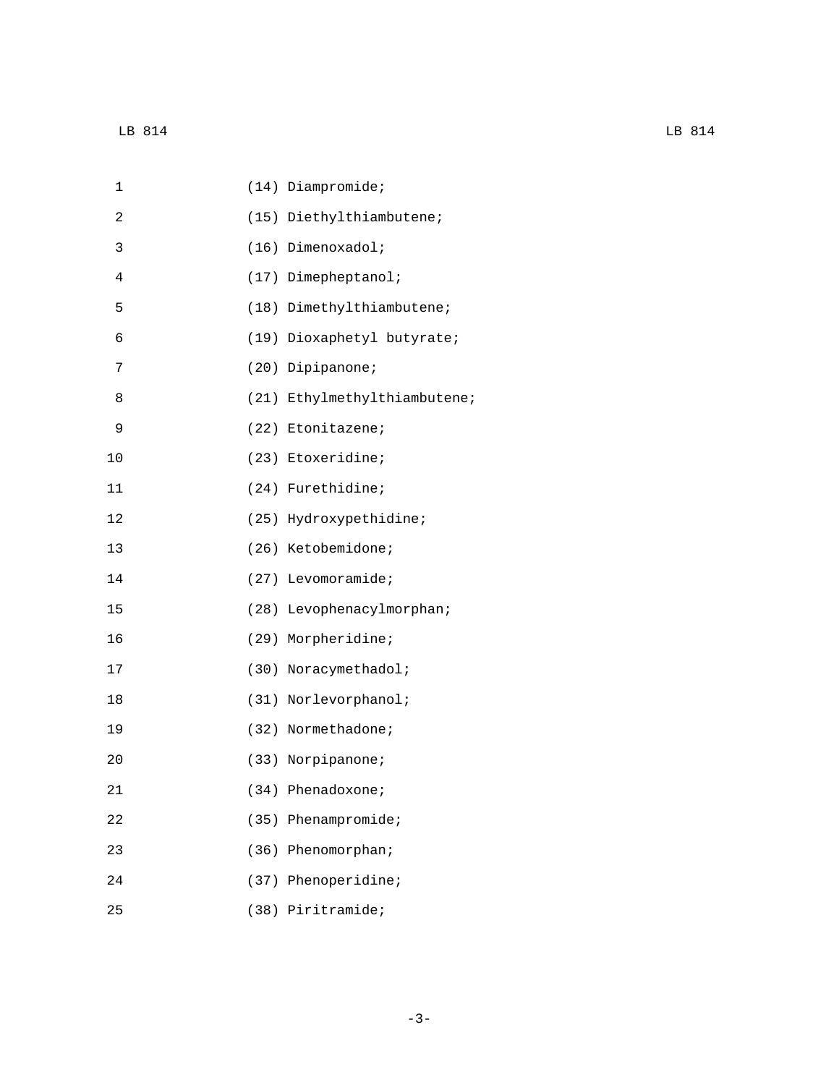| 1              | $(14)$ Diampromide;          |
|----------------|------------------------------|
| 2              | (15) Diethylthiambutene;     |
| 3              | (16) Dimenoxadol;            |
| $\overline{4}$ | (17) Dimepheptanol;          |
| 5              | (18) Dimethylthiambutene;    |
| 6              | (19) Dioxaphetyl butyrate;   |
| 7              | (20) Dipipanone;             |
| 8              | (21) Ethylmethylthiambutene; |
| 9              | (22) Etonitazene;            |
| 10             | (23) Etoxeridine;            |
| 11             | (24) Furethidine;            |
| 12             | (25) Hydroxypethidine;       |
| 13             | (26) Ketobemidone;           |
| 14             | (27) Levomoramide;           |
| 15             | (28) Levophenacylmorphan;    |
| 16             | (29) Morpheridine;           |
| 17             | (30) Noracymethadol;         |
| 18             | (31) Norlevorphanol;         |
| 19             | (32) Normethadone;           |
| 20             | (33) Norpipanone;            |
| 21             | (34) Phenadoxone;            |
| 22             | (35) Phenampromide;          |
| 23             | (36) Phenomorphan;           |
| 24             | (37) Phenoperidine;          |
| 25             | (38) Piritramide;            |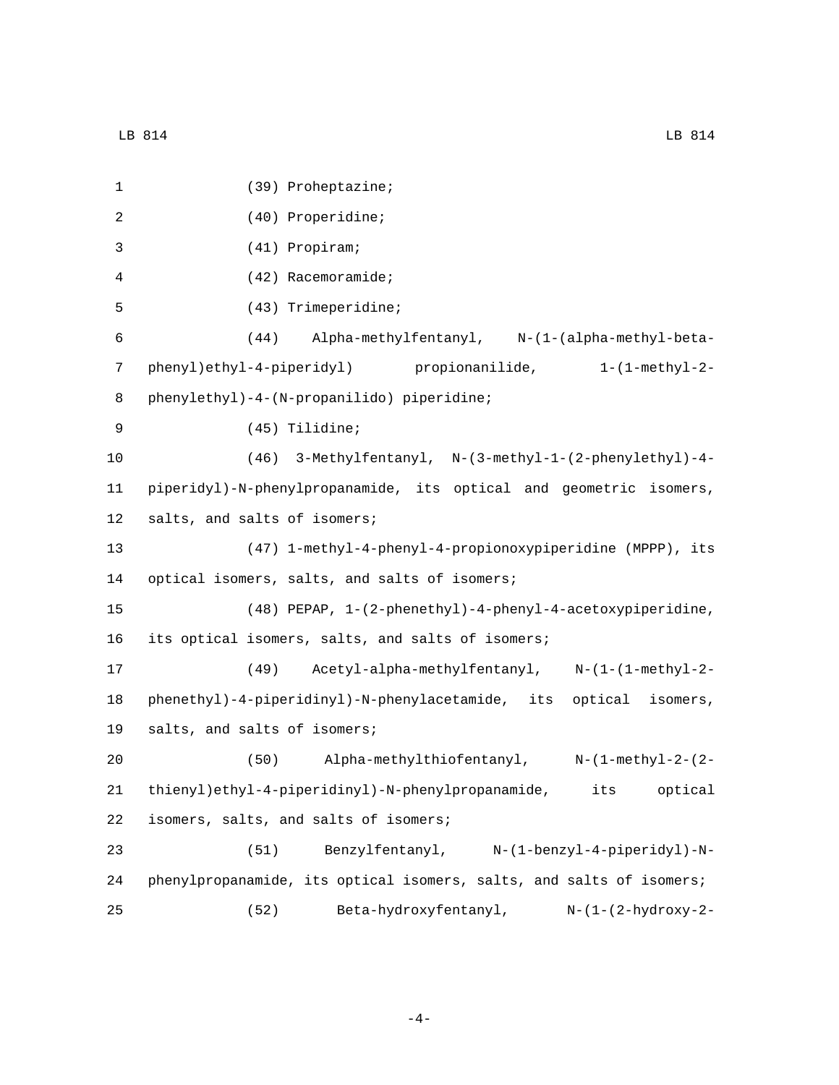1 (39) Proheptazine; (40) Properidine;2 (41) Propiram;3 4 (42) Racemoramide; (43) Trimeperidine;5 6 (44) Alpha-methylfentanyl, N-(1-(alpha-methyl-beta-7 phenyl)ethyl-4-piperidyl) propionanilide, 1-(1-methyl-2- 8 phenylethyl)-4-(N-propanilido) piperidine; (45) Tilidine;9 10 (46) 3-Methylfentanyl, N-(3-methyl-1-(2-phenylethyl)-4- 11 piperidyl)-N-phenylpropanamide, its optical and geometric isomers, 12 salts, and salts of isomers; 13 (47) 1-methyl-4-phenyl-4-propionoxypiperidine (MPPP), its 14 optical isomers, salts, and salts of isomers; 15 (48) PEPAP, 1-(2-phenethyl)-4-phenyl-4-acetoxypiperidine, 16 its optical isomers, salts, and salts of isomers; 17 (49) Acetyl-alpha-methylfentanyl, N-(1-(1-methyl-2- 18 phenethyl)-4-piperidinyl)-N-phenylacetamide, its optical isomers, 19 salts, and salts of isomers; 20 (50) Alpha-methylthiofentanyl, N-(1-methyl-2-(2- 21 thienyl)ethyl-4-piperidinyl)-N-phenylpropanamide, its optical 22 isomers, salts, and salts of isomers; 23 (51) Benzylfentanyl, N-(1-benzyl-4-piperidyl)-N-24 phenylpropanamide, its optical isomers, salts, and salts of isomers; 25 (52) Beta-hydroxyfentanyl, N-(1-(2-hydroxy-2-

-4-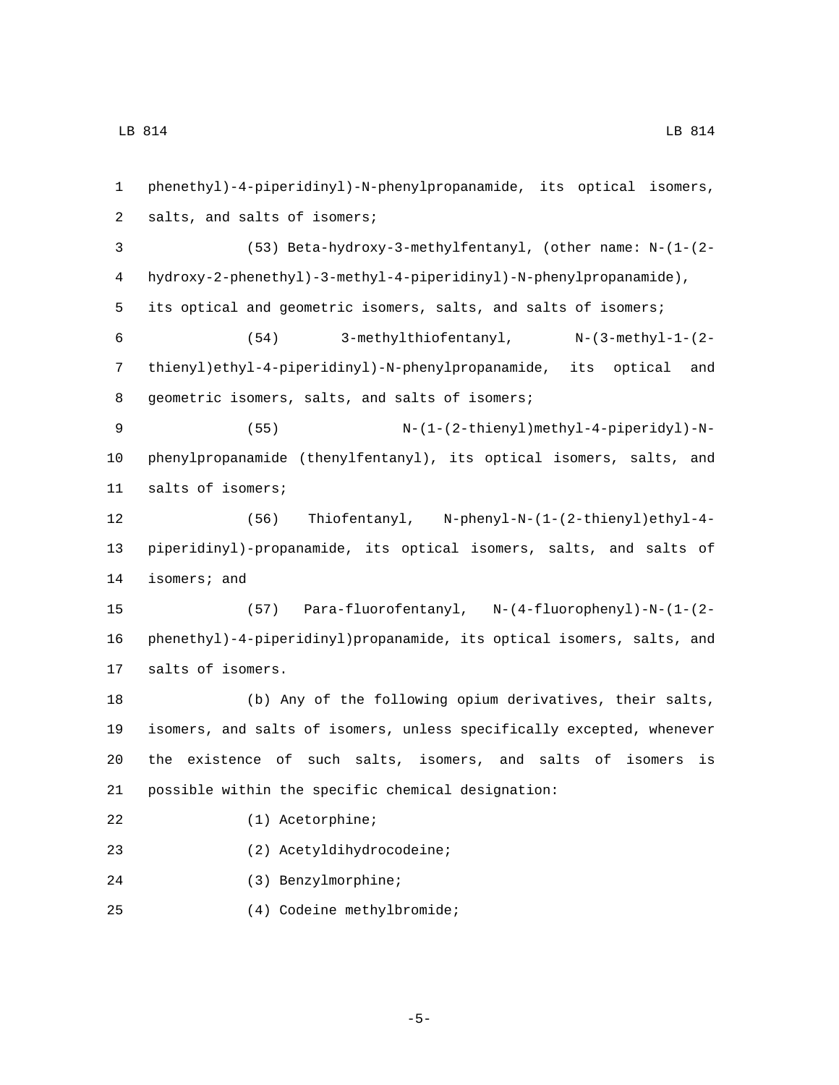phenethyl)-4-piperidinyl)-N-phenylpropanamide, its optical isomers, 2 salts, and salts of isomers; (53) Beta-hydroxy-3-methylfentanyl, (other name: N-(1-(2- hydroxy-2-phenethyl)-3-methyl-4-piperidinyl)-N-phenylpropanamide), its optical and geometric isomers, salts, and salts of isomers; (54) 3-methylthiofentanyl, N-(3-methyl-1-(2- thienyl)ethyl-4-piperidinyl)-N-phenylpropanamide, its optical and 8 geometric isomers, salts, and salts of isomers; (55) N-(1-(2-thienyl)methyl-4-piperidyl)-N- phenylpropanamide (thenylfentanyl), its optical isomers, salts, and 11 salts of isomers; (56) Thiofentanyl, N-phenyl-N-(1-(2-thienyl)ethyl-4- piperidinyl)-propanamide, its optical isomers, salts, and salts of 14 isomers; and (57) Para-fluorofentanyl, N-(4-fluorophenyl)-N-(1-(2- phenethyl)-4-piperidinyl)propanamide, its optical isomers, salts, and 17 salts of isomers. (b) Any of the following opium derivatives, their salts, isomers, and salts of isomers, unless specifically excepted, whenever the existence of such salts, isomers, and salts of isomers is possible within the specific chemical designation: 22 (1) Acetorphine; (2) Acetyldihydrocodeine;23 (3) Benzylmorphine;24 (4) Codeine methylbromide;25

-5-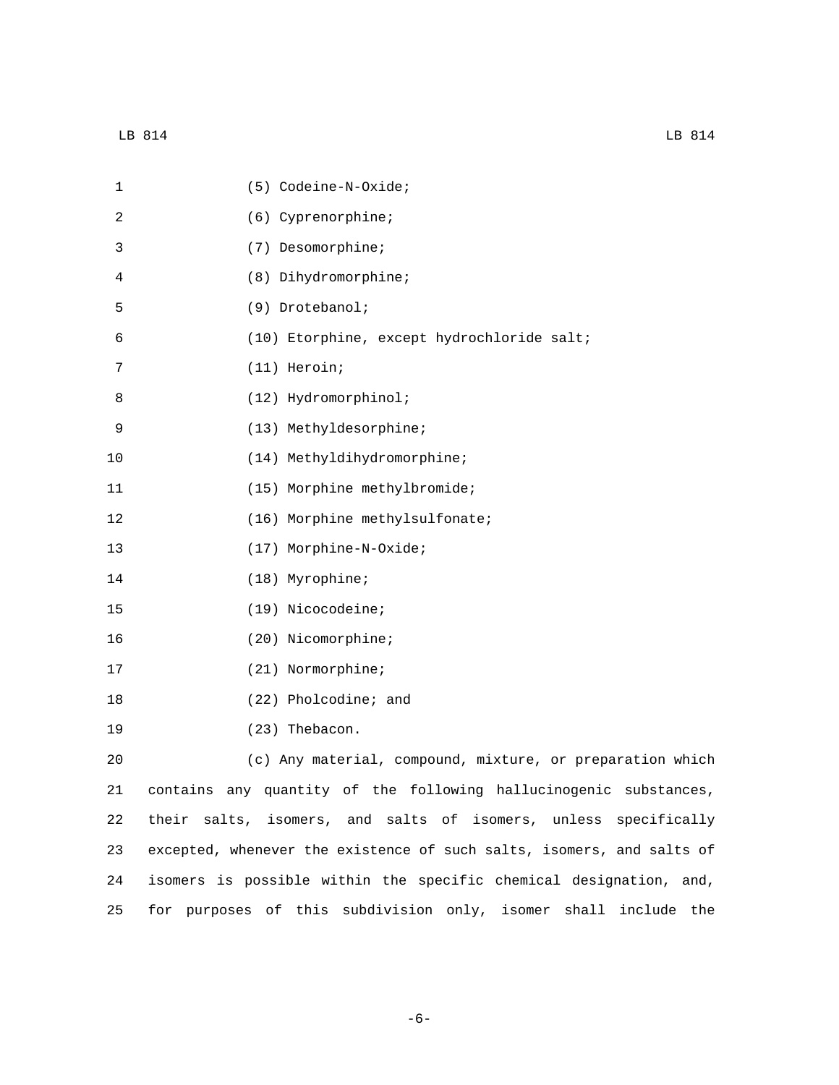| $\mathbf 1$ | (5) Codeine-N-Oxide;                                                  |
|-------------|-----------------------------------------------------------------------|
| 2           | (6) Cyprenorphine;                                                    |
| 3           | (7) Desomorphine;                                                     |
| 4           | (8) Dihydromorphine;                                                  |
| 5           | (9) Drotebanol;                                                       |
| 6           | (10) Etorphine, except hydrochloride salt;                            |
| 7           | (11) Heroin;                                                          |
| 8           | (12) Hydromorphinol;                                                  |
| 9           | (13) Methyldesorphine;                                                |
| 10          | (14) Methyldihydromorphine;                                           |
| 11          | (15) Morphine methylbromide;                                          |
| 12          | (16) Morphine methylsulfonate;                                        |
| 13          | (17) Morphine-N-Oxide;                                                |
| 14          | (18) Myrophine;                                                       |
| 15          | (19) Nicocodeine;                                                     |
| 16          | (20) Nicomorphine;                                                    |
| 17          | (21) Normorphine;                                                     |
| 18          | (22) Pholcodine; and                                                  |
| 19          | (23) Thebacon.                                                        |
| 20          | (c) Any material, compound, mixture, or preparation which             |
| 21          | contains any quantity of the following hallucinogenic substances,     |
| 22          | their salts, isomers, and salts of isomers, unless specifically       |
| 23          | excepted, whenever the existence of such salts, isomers, and salts of |

25 for purposes of this subdivision only, isomer shall include the

24 isomers is possible within the specific chemical designation, and,

-6-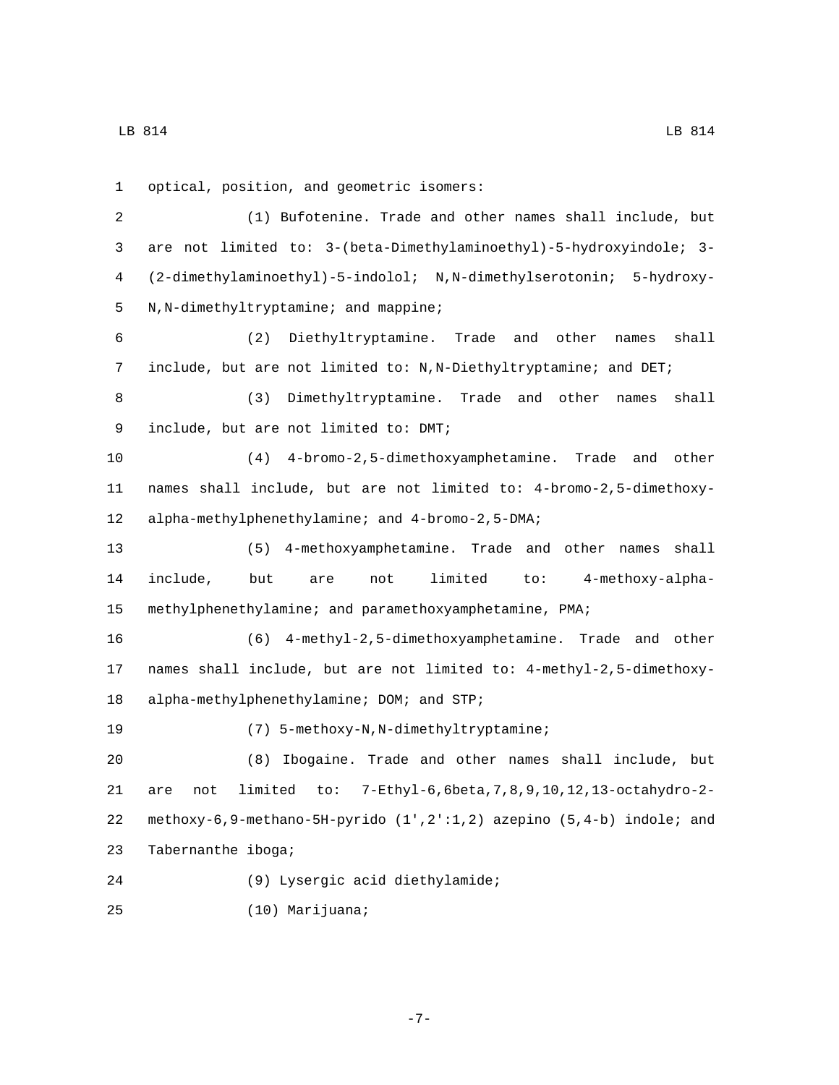1 optical, position, and geometric isomers: 2 (1) Bufotenine. Trade and other names shall include, but 3 are not limited to: 3-(beta-Dimethylaminoethyl)-5-hydroxyindole; 3- 4 (2-dimethylaminoethyl)-5-indolol; N,N-dimethylserotonin; 5-hydroxy-5 N,N-dimethyltryptamine; and mappine; 6 (2) Diethyltryptamine. Trade and other names shall 7 include, but are not limited to: N,N-Diethyltryptamine; and DET; 8 (3) Dimethyltryptamine. Trade and other names shall 9 include, but are not limited to: DMT; 10 (4) 4-bromo-2,5-dimethoxyamphetamine. Trade and other 11 names shall include, but are not limited to: 4-bromo-2,5-dimethoxy-12 alpha-methylphenethylamine; and 4-bromo-2,5-DMA; 13 (5) 4-methoxyamphetamine. Trade and other names shall 14 include, but are not limited to: 4-methoxy-alpha-15 methylphenethylamine; and paramethoxyamphetamine, PMA; 16 (6) 4-methyl-2,5-dimethoxyamphetamine. Trade and other 17 names shall include, but are not limited to: 4-methyl-2,5-dimethoxy-18 alpha-methylphenethylamine; DOM; and STP; 19 (7) 5-methoxy-N, N-dimethyltryptamine; 20 (8) Ibogaine. Trade and other names shall include, but 21 are not limited to: 7-Ethyl-6,6beta,7,8,9,10,12,13-octahydro-2- 22 methoxy-6,9-methano-5H-pyrido (1',2':1,2) azepino (5,4-b) indole; and 23 Tabernanthe iboga; (9) Lysergic acid diethylamide;24 (10) Marijuana;25

-7-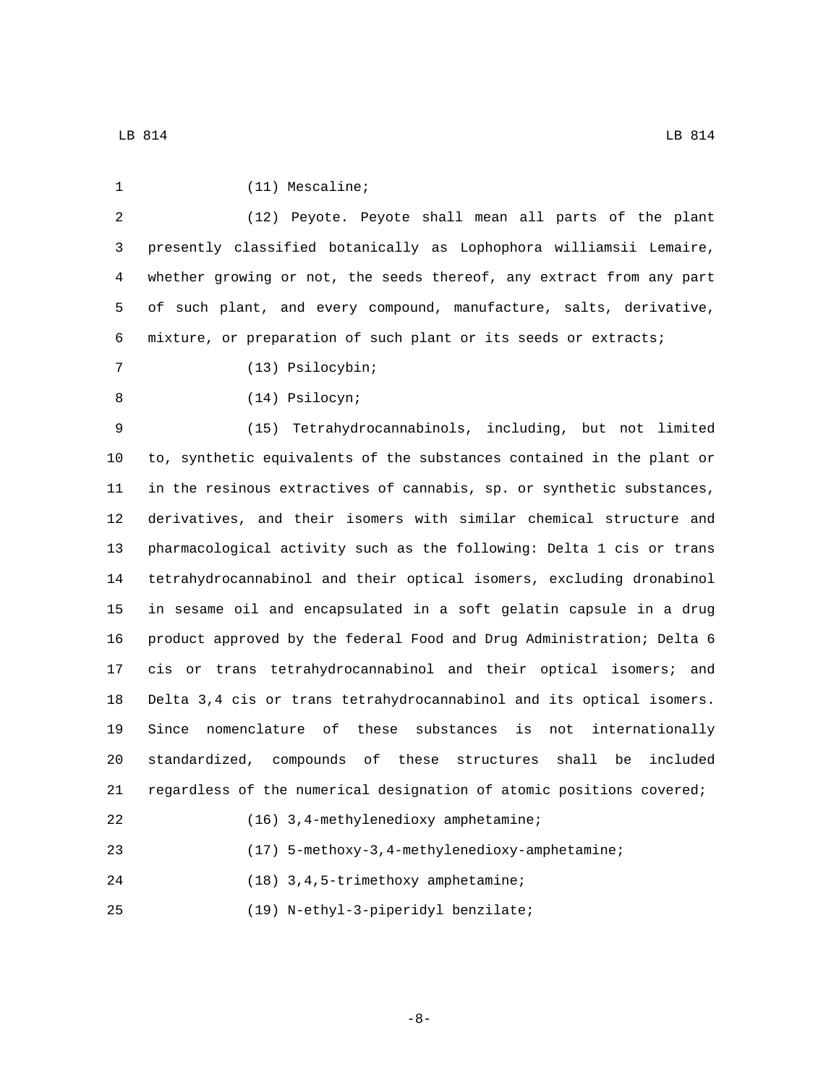| 1  | $(11)$ Mescaline;                                                      |
|----|------------------------------------------------------------------------|
| 2  | (12) Peyote. Peyote shall mean all parts of the plant                  |
| 3  | presently classified botanically as Lophophora williamsii Lemaire,     |
| 4  | whether growing or not, the seeds thereof, any extract from any part   |
| 5  | of such plant, and every compound, manufacture, salts, derivative,     |
| 6  | mixture, or preparation of such plant or its seeds or extracts;        |
| 7  | (13) Psilocybin;                                                       |
| 8  | (14) Psilocyn;                                                         |
| 9  | (15) Tetrahydrocannabinols, including, but not limited                 |
| 10 | to, synthetic equivalents of the substances contained in the plant or  |
| 11 | in the resinous extractives of cannabis, sp. or synthetic substances,  |
| 12 | derivatives, and their isomers with similar chemical structure and     |
| 13 | pharmacological activity such as the following: Delta 1 cis or trans   |
| 14 | tetrahydrocannabinol and their optical isomers, excluding dronabinol   |
| 15 | in sesame oil and encapsulated in a soft gelatin capsule in a drug     |
| 16 | product approved by the federal Food and Drug Administration; Delta 6  |
| 17 | cis or trans tetrahydrocannabinol and their optical isomers; and       |
| 18 | Delta 3,4 cis or trans tetrahydrocannabinol and its optical isomers.   |
| 19 | Since nomenclature of<br>these substances is<br>not internationally    |
| 20 | standardized, compounds of these structures<br>shall<br>included<br>be |
| 21 | regardless of the numerical designation of atomic positions covered;   |
| 22 | (16) 3,4-methylenedioxy amphetamine;                                   |
| 23 | (17) 5-methoxy-3, 4-methylenedioxy-amphetamine;                        |
| 24 | (18) 3, 4, 5-trimethoxy amphetamine;                                   |
| 25 | (19) N-ethyl-3-piperidyl benzilate;                                    |

-8-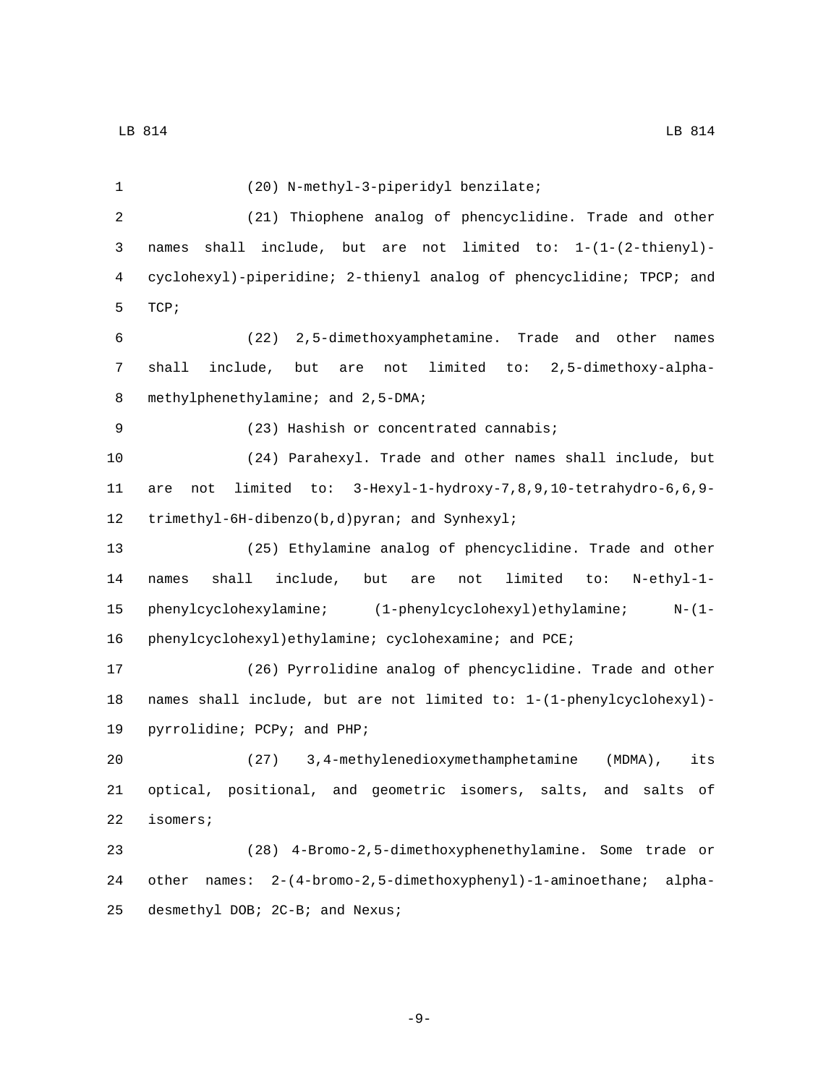(20) N-methyl-3-piperidyl benzilate;1 (21) Thiophene analog of phencyclidine. Trade and other names shall include, but are not limited to: 1-(1-(2-thienyl)- cyclohexyl)-piperidine; 2-thienyl analog of phencyclidine; TPCP; and 5 TCP; (22) 2,5-dimethoxyamphetamine. Trade and other names shall include, but are not limited to: 2,5-dimethoxy-alpha-8 methylphenethylamine; and 2,5-DMA; (23) Hashish or concentrated cannabis;9 (24) Parahexyl. Trade and other names shall include, but are not limited to: 3-Hexyl-1-hydroxy-7,8,9,10-tetrahydro-6,6,9- 12 trimethyl-6H-dibenzo(b,d)pyran; and Synhexyl; (25) Ethylamine analog of phencyclidine. Trade and other names shall include, but are not limited to: N-ethyl-1- phenylcyclohexylamine; (1-phenylcyclohexyl)ethylamine; N-(1- 16 phenylcyclohexyl)ethylamine; cyclohexamine; and PCE; (26) Pyrrolidine analog of phencyclidine. Trade and other names shall include, but are not limited to: 1-(1-phenylcyclohexyl)- 19 pyrrolidine; PCPy; and PHP; (27) 3,4-methylenedioxymethamphetamine (MDMA), its optical, positional, and geometric isomers, salts, and salts of 22 isomers; (28) 4-Bromo-2,5-dimethoxyphenethylamine. Some trade or other names: 2-(4-bromo-2,5-dimethoxyphenyl)-1-aminoethane; alpha-

25 desmethyl DOB; 2C-B; and Nexus;

-9-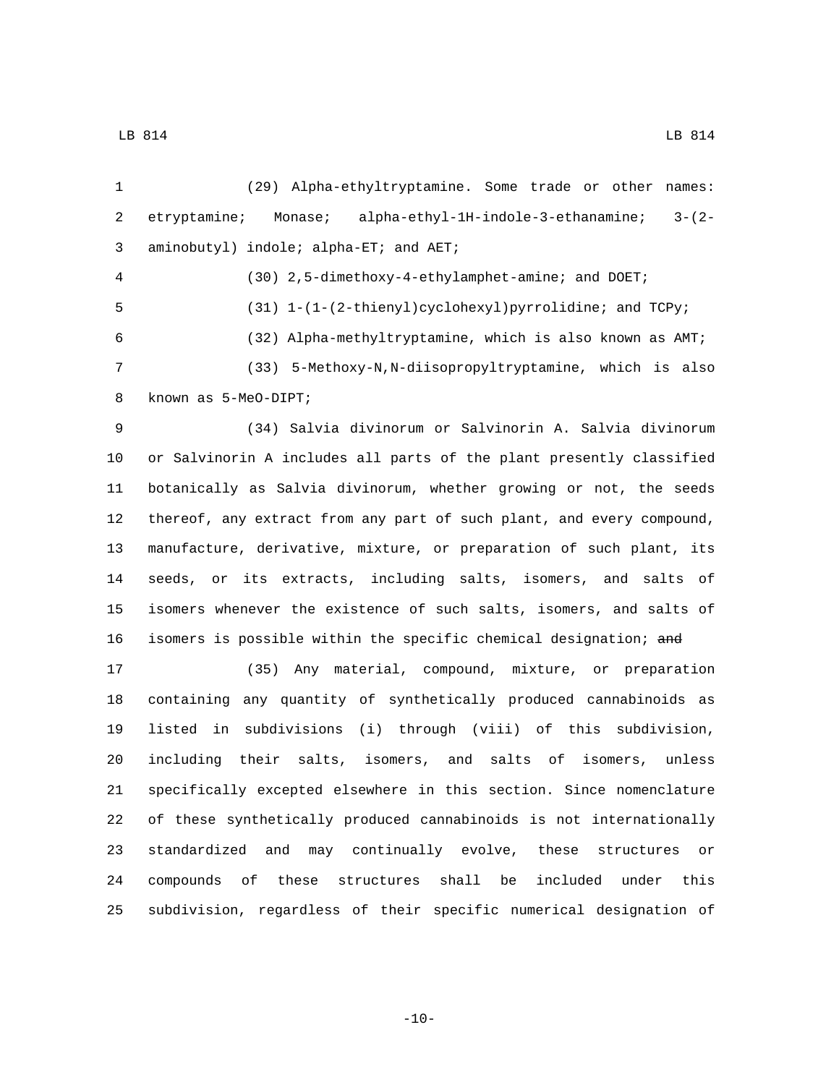(29) Alpha-ethyltryptamine. Some trade or other names: etryptamine; Monase; alpha-ethyl-1H-indole-3-ethanamine; 3-(2- 3 aminobutyl) indole; alpha-ET; and AET; (30) 2,5-dimethoxy-4-ethylamphet-amine; and DOET; (31) 1-(1-(2-thienyl)cyclohexyl)pyrrolidine; and TCPy; (32) Alpha-methyltryptamine, which is also known as AMT; (33) 5-Methoxy-N,N-diisopropyltryptamine, which is also 8 known as 5-MeO-DIPT; (34) Salvia divinorum or Salvinorin A. Salvia divinorum or Salvinorin A includes all parts of the plant presently classified botanically as Salvia divinorum, whether growing or not, the seeds thereof, any extract from any part of such plant, and every compound, manufacture, derivative, mixture, or preparation of such plant, its seeds, or its extracts, including salts, isomers, and salts of isomers whenever the existence of such salts, isomers, and salts of 16 isomers is possible within the specific chemical designation; and (35) Any material, compound, mixture, or preparation containing any quantity of synthetically produced cannabinoids as listed in subdivisions (i) through (viii) of this subdivision, including their salts, isomers, and salts of isomers, unless specifically excepted elsewhere in this section. Since nomenclature of these synthetically produced cannabinoids is not internationally standardized and may continually evolve, these structures or compounds of these structures shall be included under this subdivision, regardless of their specific numerical designation of

 $-10-$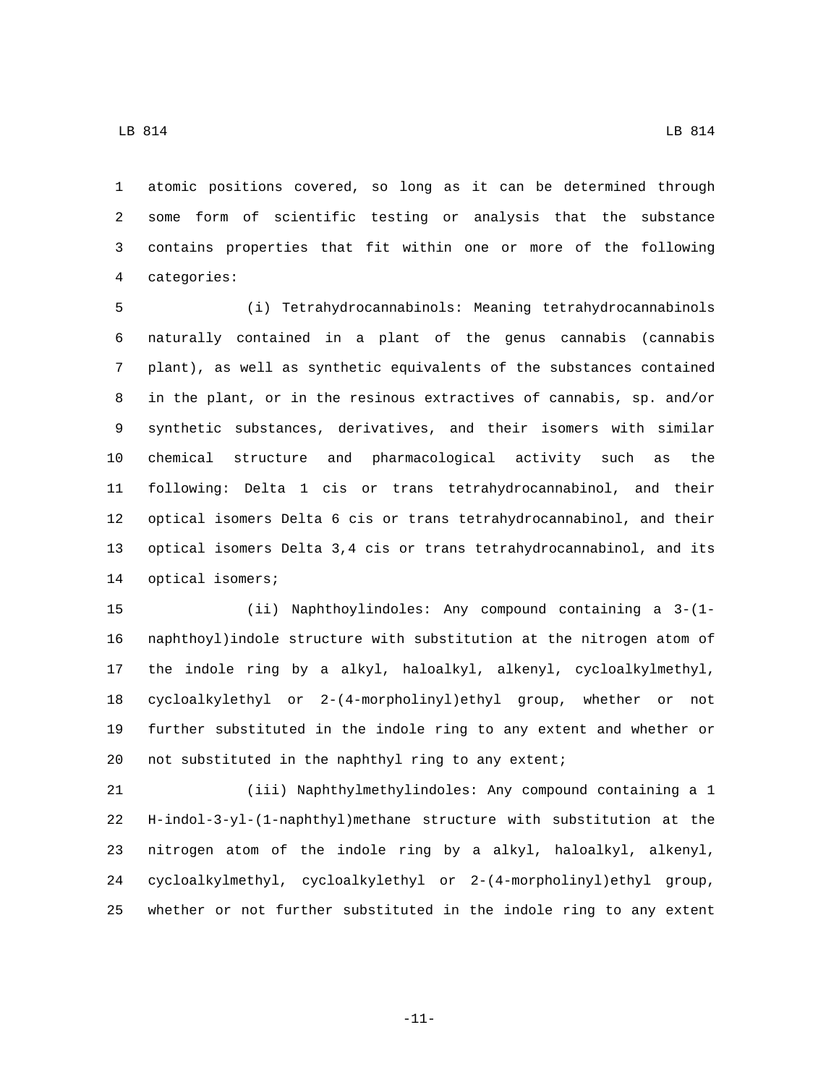atomic positions covered, so long as it can be determined through some form of scientific testing or analysis that the substance contains properties that fit within one or more of the following categories:4

 (i) Tetrahydrocannabinols: Meaning tetrahydrocannabinols naturally contained in a plant of the genus cannabis (cannabis plant), as well as synthetic equivalents of the substances contained in the plant, or in the resinous extractives of cannabis, sp. and/or synthetic substances, derivatives, and their isomers with similar chemical structure and pharmacological activity such as the following: Delta 1 cis or trans tetrahydrocannabinol, and their optical isomers Delta 6 cis or trans tetrahydrocannabinol, and their optical isomers Delta 3,4 cis or trans tetrahydrocannabinol, and its 14 optical isomers;

 (ii) Naphthoylindoles: Any compound containing a 3-(1- naphthoyl)indole structure with substitution at the nitrogen atom of the indole ring by a alkyl, haloalkyl, alkenyl, cycloalkylmethyl, cycloalkylethyl or 2-(4-morpholinyl)ethyl group, whether or not further substituted in the indole ring to any extent and whether or 20 not substituted in the naphthyl ring to any extent;

 (iii) Naphthylmethylindoles: Any compound containing a 1 H-indol-3-yl-(1-naphthyl)methane structure with substitution at the nitrogen atom of the indole ring by a alkyl, haloalkyl, alkenyl, cycloalkylmethyl, cycloalkylethyl or 2-(4-morpholinyl)ethyl group, whether or not further substituted in the indole ring to any extent

LB 814 LB 814

-11-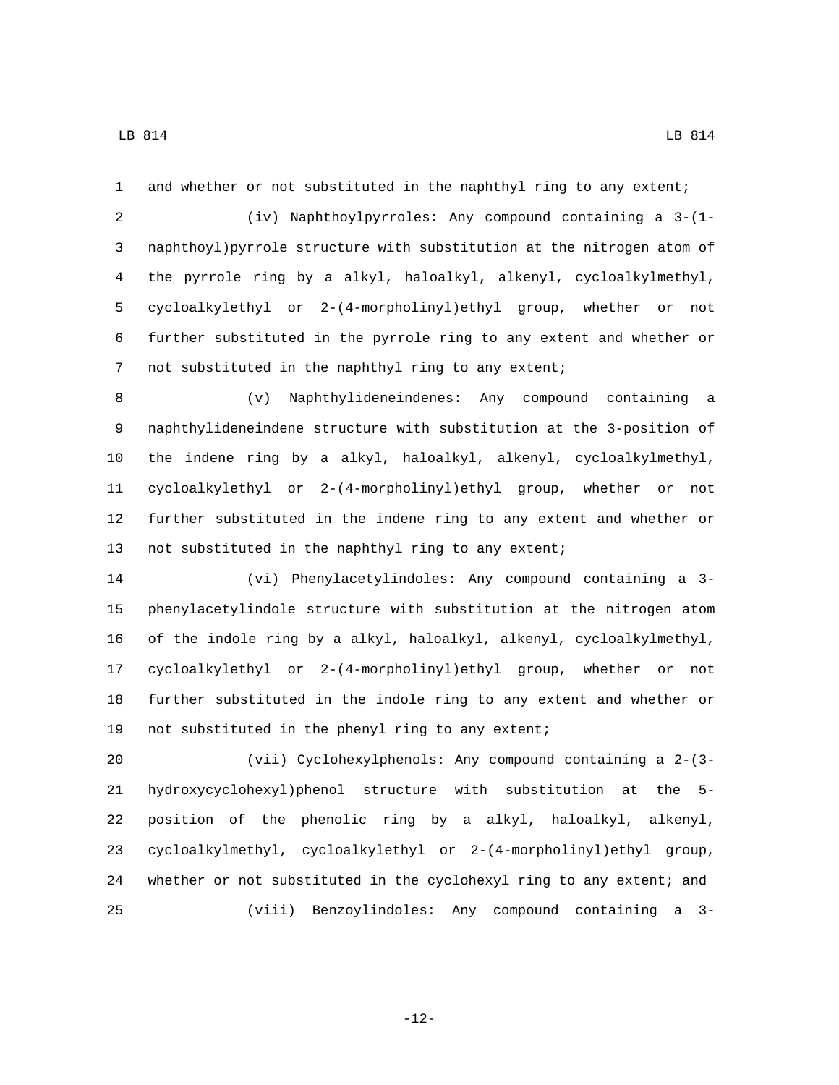and whether or not substituted in the naphthyl ring to any extent;

 (iv) Naphthoylpyrroles: Any compound containing a 3-(1- naphthoyl)pyrrole structure with substitution at the nitrogen atom of the pyrrole ring by a alkyl, haloalkyl, alkenyl, cycloalkylmethyl, cycloalkylethyl or 2-(4-morpholinyl)ethyl group, whether or not further substituted in the pyrrole ring to any extent and whether or not substituted in the naphthyl ring to any extent;

 (v) Naphthylideneindenes: Any compound containing a naphthylideneindene structure with substitution at the 3-position of the indene ring by a alkyl, haloalkyl, alkenyl, cycloalkylmethyl, cycloalkylethyl or 2-(4-morpholinyl)ethyl group, whether or not further substituted in the indene ring to any extent and whether or not substituted in the naphthyl ring to any extent;

 (vi) Phenylacetylindoles: Any compound containing a 3- phenylacetylindole structure with substitution at the nitrogen atom of the indole ring by a alkyl, haloalkyl, alkenyl, cycloalkylmethyl, cycloalkylethyl or 2-(4-morpholinyl)ethyl group, whether or not further substituted in the indole ring to any extent and whether or 19 not substituted in the phenyl ring to any extent;

 (vii) Cyclohexylphenols: Any compound containing a 2-(3- hydroxycyclohexyl)phenol structure with substitution at the 5- position of the phenolic ring by a alkyl, haloalkyl, alkenyl, cycloalkylmethyl, cycloalkylethyl or 2-(4-morpholinyl)ethyl group, whether or not substituted in the cyclohexyl ring to any extent; and (viii) Benzoylindoles: Any compound containing a 3-

-12-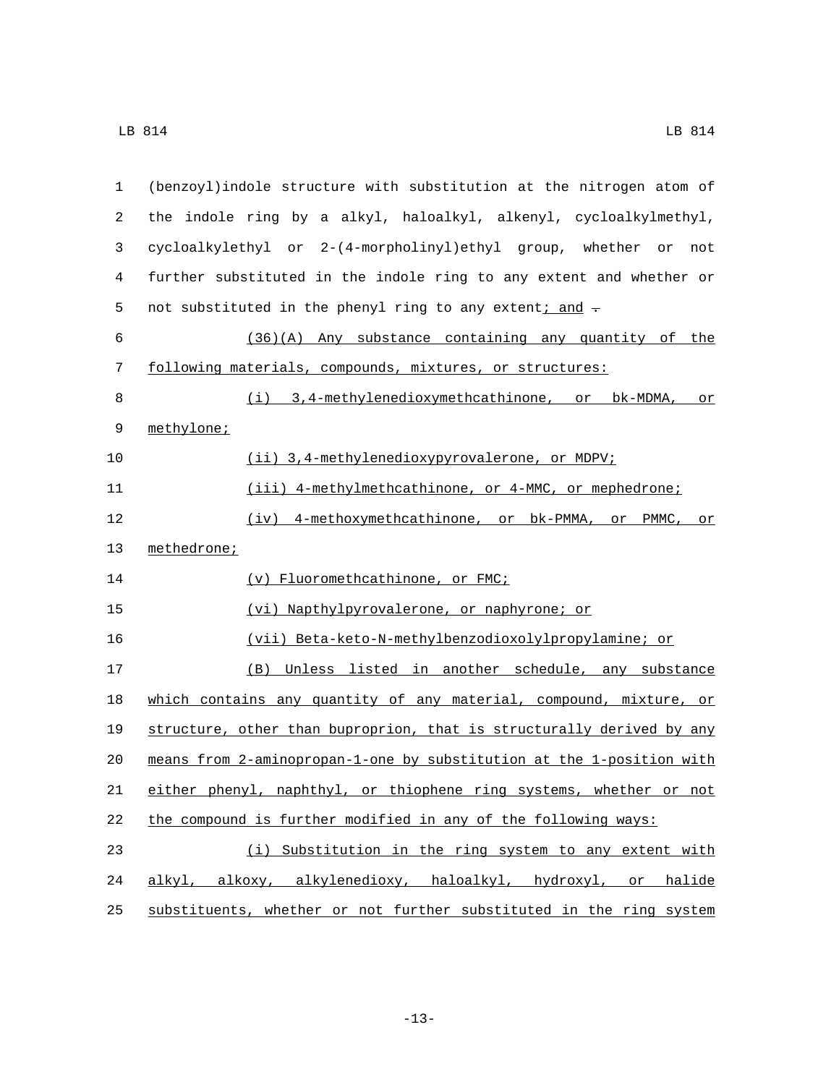| 1  | (benzoyl) indole structure with substitution at the nitrogen atom of  |
|----|-----------------------------------------------------------------------|
| 2  | the indole ring by a alkyl, haloalkyl, alkenyl, cycloalkylmethyl,     |
| 3  | cycloalkylethyl or 2-(4-morpholinyl)ethyl group, whether or<br>not    |
| 4  | further substituted in the indole ring to any extent and whether or   |
| 5  | not substituted in the phenyl ring to any extent; and -               |
| 6  | $(36)(A)$ Any substance containing any quantity of the                |
| 7  | following materials, compounds, mixtures, or structures:              |
| 8  | (i) 3,4-methylenedioxymethcathinone, or bk-MDMA, or                   |
| 9  | methylone;                                                            |
| 10 | (ii) 3,4-methylenedioxypyrovalerone, or MDPV;                         |
| 11 | (iii) 4-methylmethcathinone, or 4-MMC, or mephedrone;                 |
| 12 | (iv) 4-methoxymethcathinone, or bk-PMMA, or<br>PMMC, or               |
| 13 | methedrone;                                                           |
| 14 | (v) Fluoromethcathinone, or FMC;                                      |
| 15 | (vi) Napthylpyrovalerone, or naphyrone; or                            |
| 16 | (vii) Beta-keto-N-methylbenzodioxolylpropylamine; or                  |
| 17 | (B) Unless listed in another schedule, any substance                  |
| 18 | which contains any quantity of any material, compound, mixture, or    |
| 19 | structure, other than buproprion, that is structurally derived by any |
| 20 | means from 2-aminopropan-1-one by substitution at the 1-position with |
| 21 | either phenyl, naphthyl, or thiophene ring systems, whether or not    |
| 22 | the compound is further modified in any of the following ways:        |
| 23 | (i) Substitution in the ring system to any extent with                |
| 24 | alkyl, alkoxy, alkylenedioxy, haloalkyl, hydroxyl, or halide          |
| 25 | substituents, whether or not further substituted in the ring system   |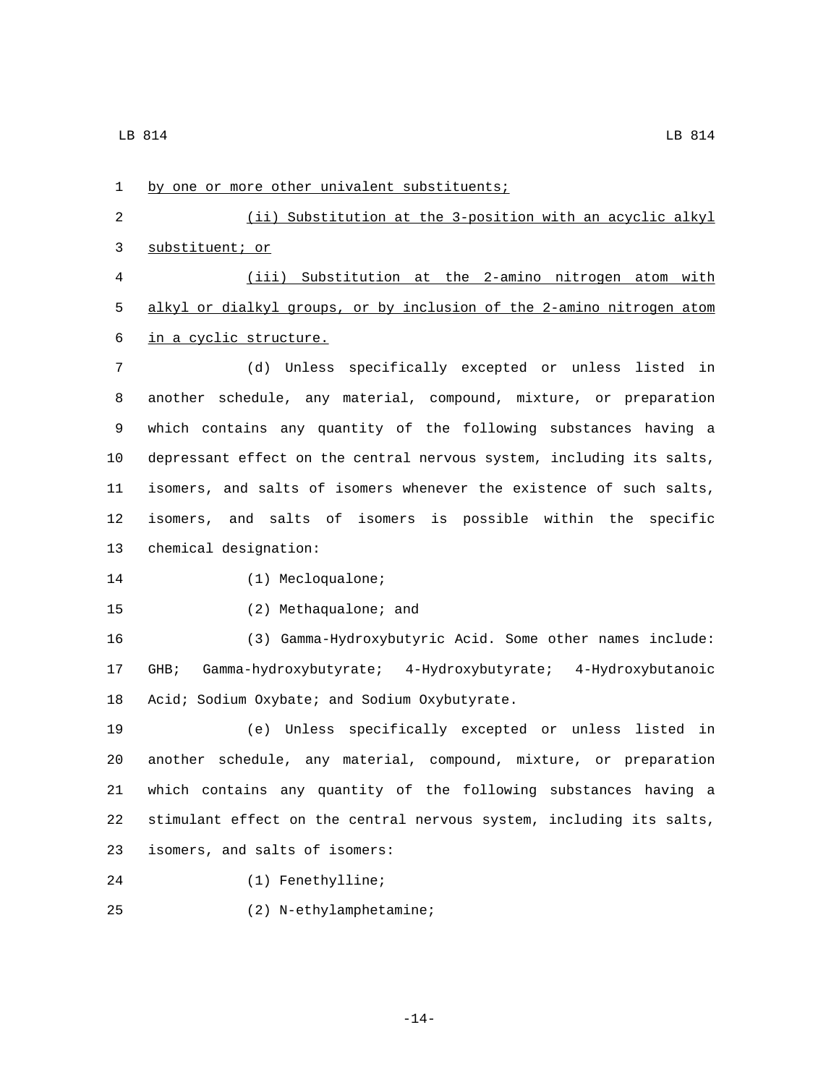1 by one or more other univalent substituents; 2 (ii) Substitution at the 3-position with an acyclic alkyl 3 substituent; or 4 (iii) Substitution at the 2-amino nitrogen atom with 5 alkyl or dialkyl groups, or by inclusion of the 2-amino nitrogen atom 6 in a cyclic structure. 7 (d) Unless specifically excepted or unless listed in 8 another schedule, any material, compound, mixture, or preparation 9 which contains any quantity of the following substances having a 10 depressant effect on the central nervous system, including its salts, 11 isomers, and salts of isomers whenever the existence of such salts, 12 isomers, and salts of isomers is possible within the specific 13 chemical designation: 14 (1) Mecloqualone; 15 (2) Methaqualone; and 16 (3) Gamma-Hydroxybutyric Acid. Some other names include: 17 GHB; Gamma-hydroxybutyrate; 4-Hydroxybutyrate; 4-Hydroxybutanoic 18 Acid; Sodium Oxybate; and Sodium Oxybutyrate. 19 (e) Unless specifically excepted or unless listed in 20 another schedule, any material, compound, mixture, or preparation 21 which contains any quantity of the following substances having a 22 stimulant effect on the central nervous system, including its salts, isomers, and salts of isomers:23 24 (1) Fenethylline; (2) N-ethylamphetamine;25

-14-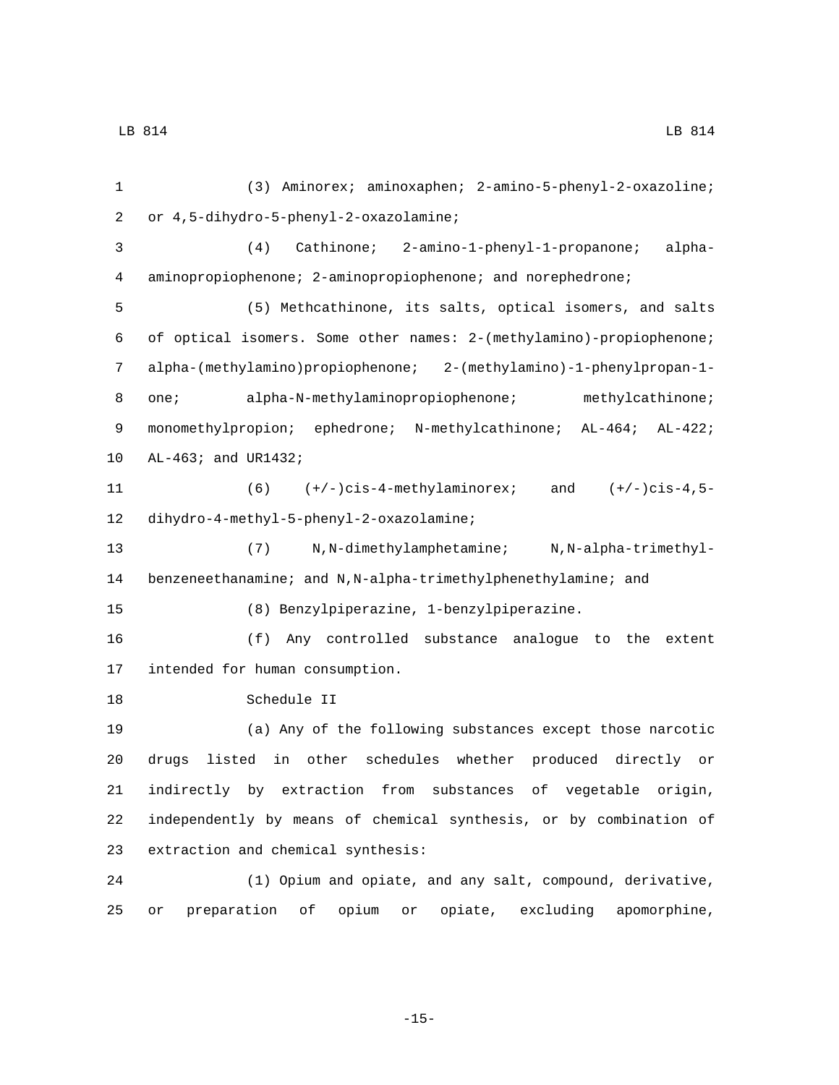(3) Aminorex; aminoxaphen; 2-amino-5-phenyl-2-oxazoline; or 4,5-dihydro-5-phenyl-2-oxazolamine;2 (4) Cathinone; 2-amino-1-phenyl-1-propanone; alpha- aminopropiophenone; 2-aminopropiophenone; and norephedrone; (5) Methcathinone, its salts, optical isomers, and salts of optical isomers. Some other names: 2-(methylamino)-propiophenone; alpha-(methylamino)propiophenone; 2-(methylamino)-1-phenylpropan-1- 8 one; alpha-N-methylaminopropiophenone; methylcathinone; 9 monomethylpropion; ephedrone; N-methylcathinone; AL-464; AL-422; 10 AL-463; and UR1432; (6) (+/-)cis-4-methylaminorex; and (+/-)cis-4,5- 12 dihydro-4-methyl-5-phenyl-2-oxazolamine; (7) N,N-dimethylamphetamine; N,N-alpha-trimethyl- benzeneethanamine; and N,N-alpha-trimethylphenethylamine; and (8) Benzylpiperazine, 1-benzylpiperazine. (f) Any controlled substance analogue to the extent 17 intended for human consumption. 18 Schedule II (a) Any of the following substances except those narcotic drugs listed in other schedules whether produced directly or indirectly by extraction from substances of vegetable origin, independently by means of chemical synthesis, or by combination of 23 extraction and chemical synthesis: (1) Opium and opiate, and any salt, compound, derivative, or preparation of opium or opiate, excluding apomorphine,

-15-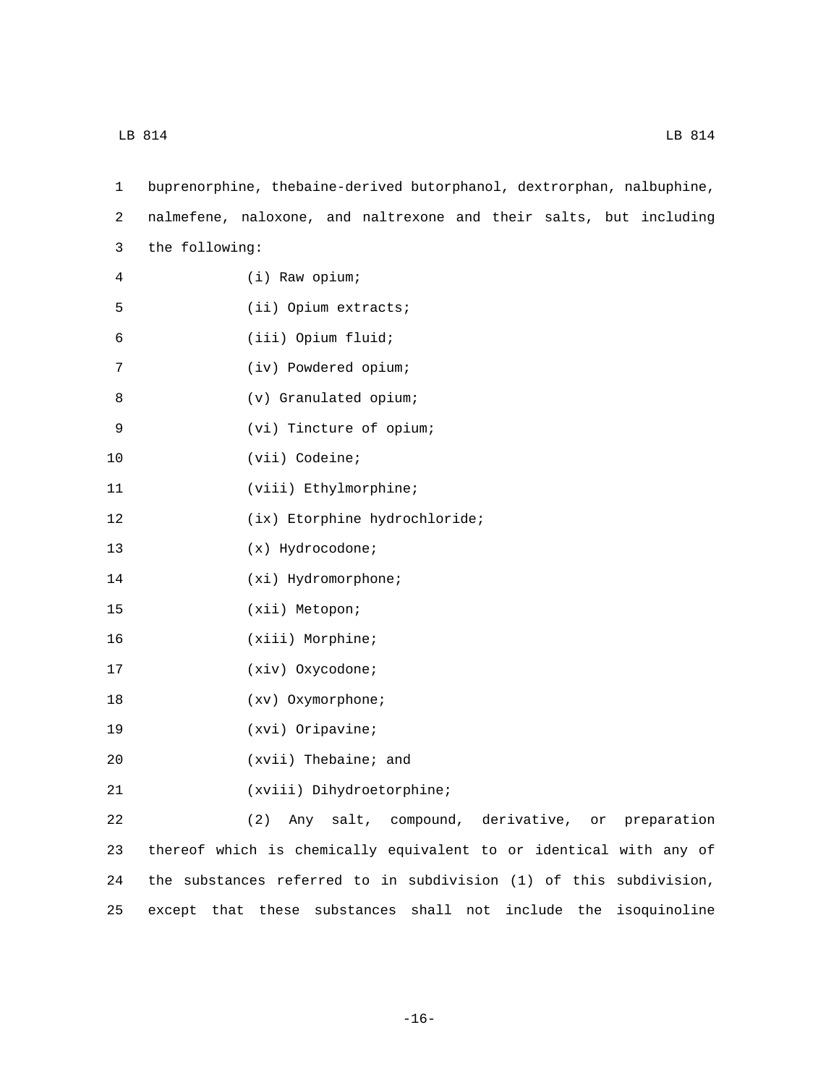| 1  | buprenorphine, thebaine-derived butorphanol, dextrorphan, nalbuphine, |
|----|-----------------------------------------------------------------------|
| 2  | nalmefene, naloxone, and naltrexone and their salts, but including    |
| 3  | the following:                                                        |
| 4  | (i) Raw opium;                                                        |
| 5  | (ii) Opium extracts;                                                  |
| 6  | (iii) Opium fluid;                                                    |
| 7  | (iv) Powdered opium;                                                  |
| 8  | (v) Granulated opium;                                                 |
| 9  | (vi) Tincture of opium;                                               |
| 10 | (vii) Codeine;                                                        |
| 11 | (viii) Ethylmorphine;                                                 |
| 12 | (ix) Etorphine hydrochloride;                                         |
| 13 | $(x)$ Hydrocodone;                                                    |
| 14 | $(xi)$ Hydromorphone;                                                 |
| 15 | (xii) Metopon;                                                        |
| 16 | (xiii) Morphine;                                                      |
| 17 | (xiv) Oxycodone;                                                      |
| 18 | (xv) Oxymorphone;                                                     |
| 19 | $(xvi)$ Oripavine;                                                    |
| 20 | (xvii) Thebaine; and                                                  |
| 21 | (xviii) Dihydroetorphine;                                             |
| 22 | (2)<br>Any salt, compound, derivative, or preparation                 |
| 23 | thereof which is chemically equivalent to or identical with any of    |
| 24 | the substances referred to in subdivision (1) of this subdivision,    |
| 25 | except that these substances shall not include the isoquinoline       |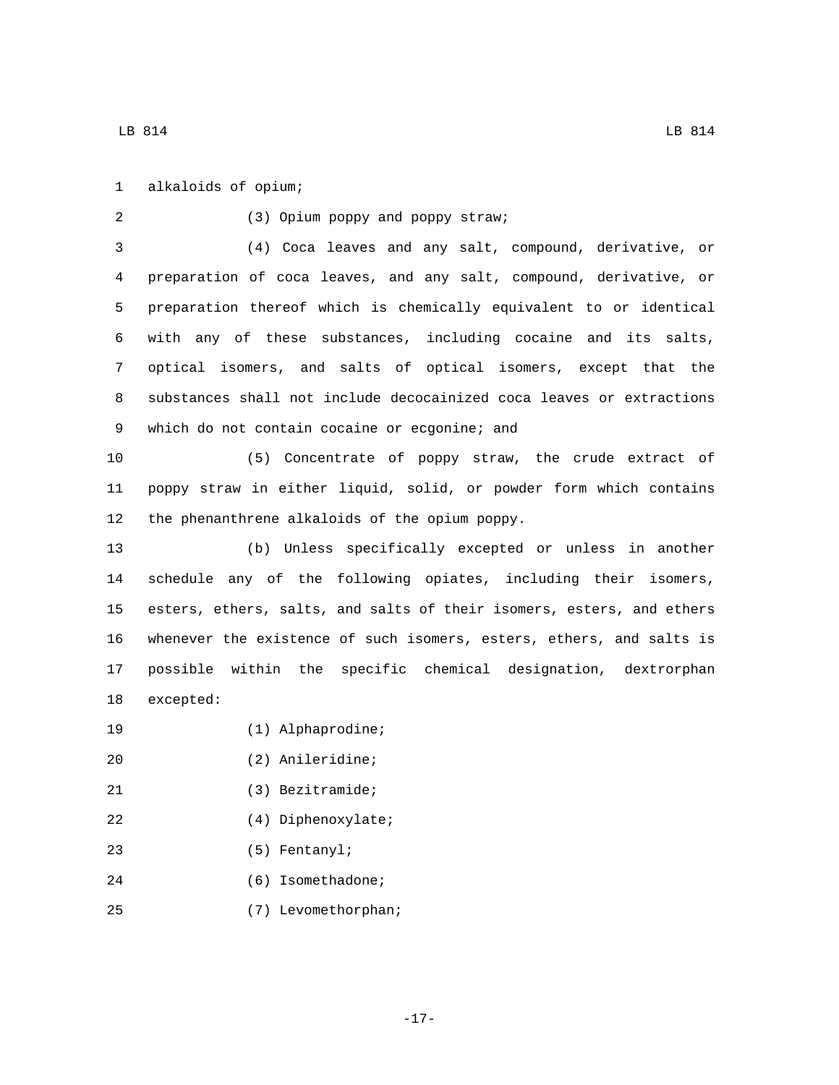alkaloids of opium;1 (3) Opium poppy and poppy straw;2 3 (4) Coca leaves and any salt, compound, derivative, or 4 preparation of coca leaves, and any salt, compound, derivative, or 5 preparation thereof which is chemically equivalent to or identical 6 with any of these substances, including cocaine and its salts, 7 optical isomers, and salts of optical isomers, except that the 8 substances shall not include decocainized coca leaves or extractions 9 which do not contain cocaine or ecgonine; and 10 (5) Concentrate of poppy straw, the crude extract of 11 poppy straw in either liquid, solid, or powder form which contains 12 the phenanthrene alkaloids of the opium poppy. 13 (b) Unless specifically excepted or unless in another 14 schedule any of the following opiates, including their isomers, 15 esters, ethers, salts, and salts of their isomers, esters, and ethers 16 whenever the existence of such isomers, esters, ethers, and salts is 17 possible within the specific chemical designation, dextrorphan 18 excepted: 19 (1) Alphaprodine; (2) Anileridine;20 21 (3) Bezitramide; 22 (4) Diphenoxylate;

- (5) Fentanyl;23
- 24 (6) Isomethadone;
- (7) Levomethorphan;25

-17-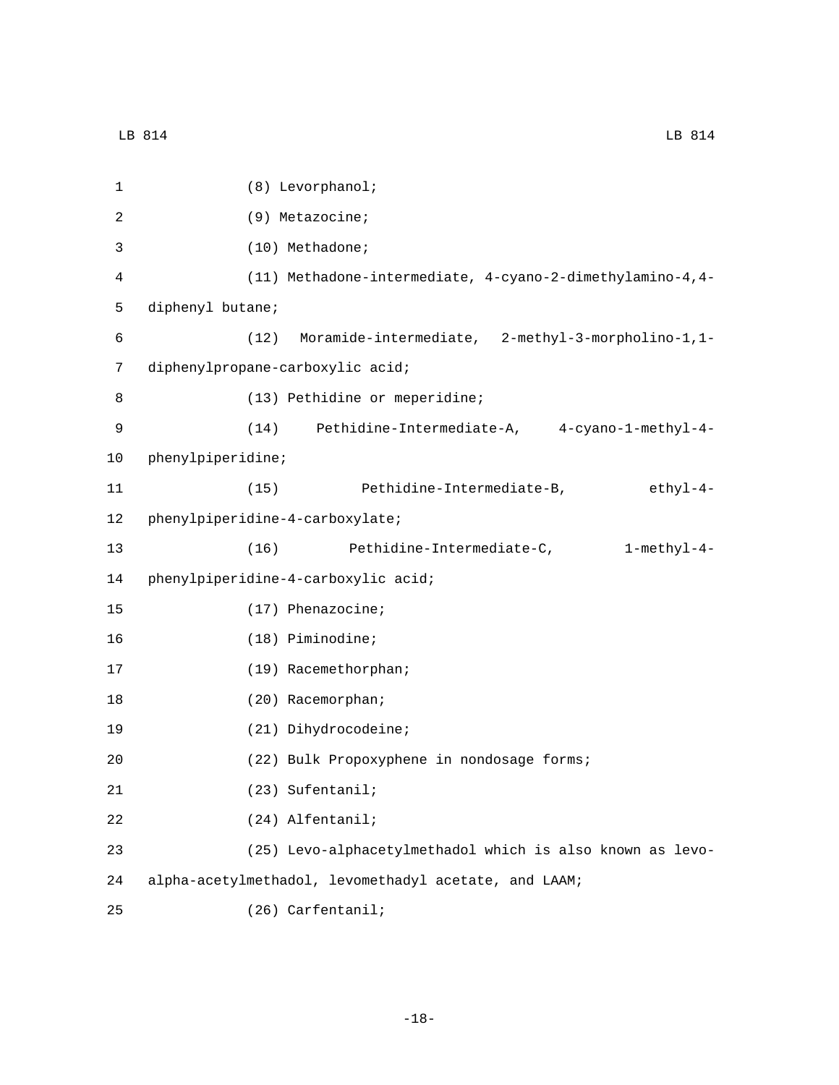| $\mathbf 1$ | (8) Levorphanol;                                          |  |
|-------------|-----------------------------------------------------------|--|
| 2           | (9) Metazocine;                                           |  |
| 3           | (10) Methadone;                                           |  |
| 4           | (11) Methadone-intermediate, 4-cyano-2-dimethylamino-4,4- |  |
| 5           | diphenyl butane;                                          |  |
| 6           | Moramide-intermediate, 2-methyl-3-morpholino-1,1-<br>(12) |  |
| 7           | diphenylpropane-carboxylic acid;                          |  |
| 8           | (13) Pethidine or meperidine;                             |  |
| 9           | (14)<br>Pethidine-Intermediate-A, 4-cyano-1-methyl-4-     |  |
| 10          | phenylpiperidine;                                         |  |
| 11          | (15) Pethidine-Intermediate-B,<br>ethyl-4-                |  |
| 12          | phenylpiperidine-4-carboxylate;                           |  |
| 13          | (16)<br>Pethidine-Intermediate-C,<br>$1$ -methy $1-4-$    |  |
| 14          | phenylpiperidine-4-carboxylic acid;                       |  |
| 15          | $(17)$ Phenazocine;                                       |  |
| 16          | (18) Piminodine;                                          |  |
| 17          | (19) Racemethorphan;                                      |  |
| 18          | (20) Racemorphan;                                         |  |
| 19          | (21) Dihydrocodeine;                                      |  |
| 20          | (22) Bulk Propoxyphene in nondosage forms;                |  |
| 21          | (23) Sufentanil;                                          |  |
| 22          | (24) Alfentanil;                                          |  |
| 23          | (25) Levo-alphacetylmethadol which is also known as levo- |  |
| 24          | alpha-acetylmethadol, levomethadyl acetate, and LAAM;     |  |
| 25          | (26) Carfentanil;                                         |  |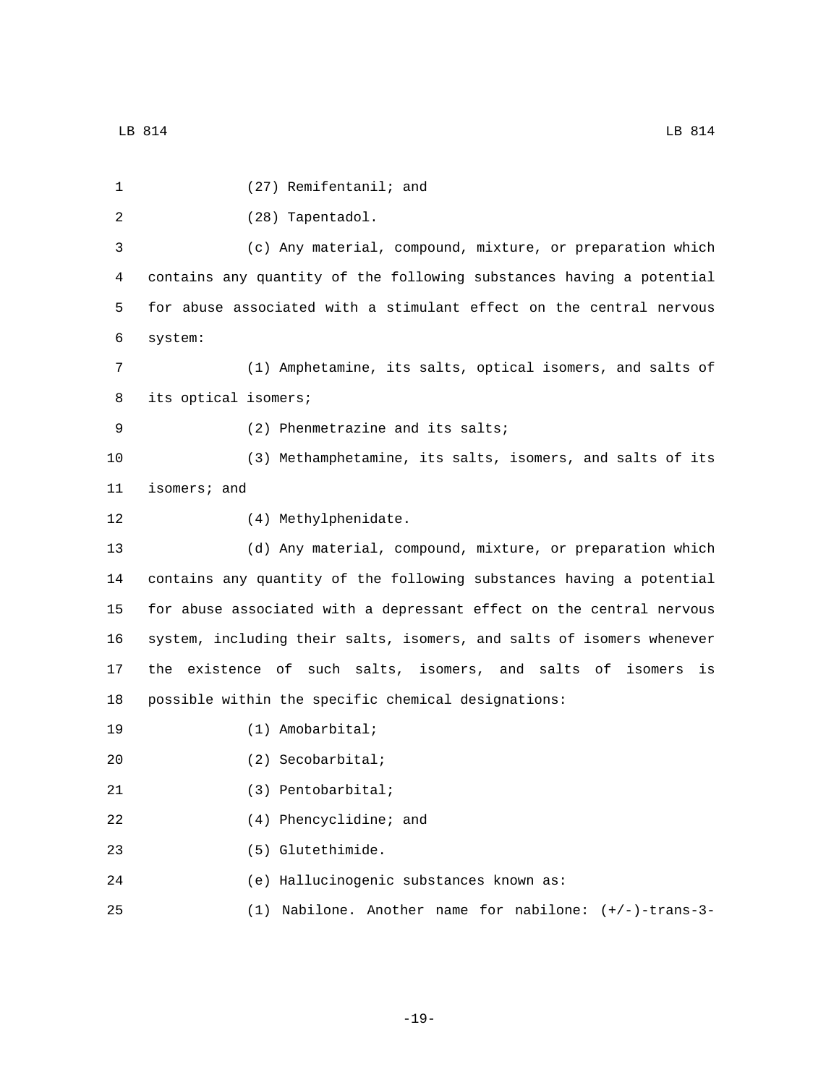| 1  | (27) Remifentanil; and                                                |
|----|-----------------------------------------------------------------------|
| 2  | (28) Tapentadol.                                                      |
| 3  | (c) Any material, compound, mixture, or preparation which             |
| 4  | contains any quantity of the following substances having a potential  |
| 5  | for abuse associated with a stimulant effect on the central nervous   |
| 6  | system:                                                               |
| 7  | (1) Amphetamine, its salts, optical isomers, and salts of             |
| 8  | its optical isomers;                                                  |
| 9  | (2) Phenmetrazine and its salts;                                      |
| 10 | (3) Methamphetamine, its salts, isomers, and salts of its             |
| 11 | isomers; and                                                          |
| 12 | (4) Methylphenidate.                                                  |
| 13 | (d) Any material, compound, mixture, or preparation which             |
| 14 | contains any quantity of the following substances having a potential  |
| 15 | for abuse associated with a depressant effect on the central nervous  |
| 16 | system, including their salts, isomers, and salts of isomers whenever |
| 17 | the existence of such salts, isomers, and salts of isomers<br>is      |
| 18 | possible within the specific chemical designations:                   |
| 19 | $(1)$ Amobarbital;                                                    |
| 20 | $(2)$ Secobarbital;                                                   |
| 21 | $(3)$ Pentobarbital;                                                  |
| 22 | (4) Phencyclidine; and                                                |
| 23 | (5) Glutethimide.                                                     |
| 24 | (e) Hallucinogenic substances known as:                               |
| 25 | (1) Nabilone. Another name for nabilone: $(+/-)$ -trans-3-            |

-19-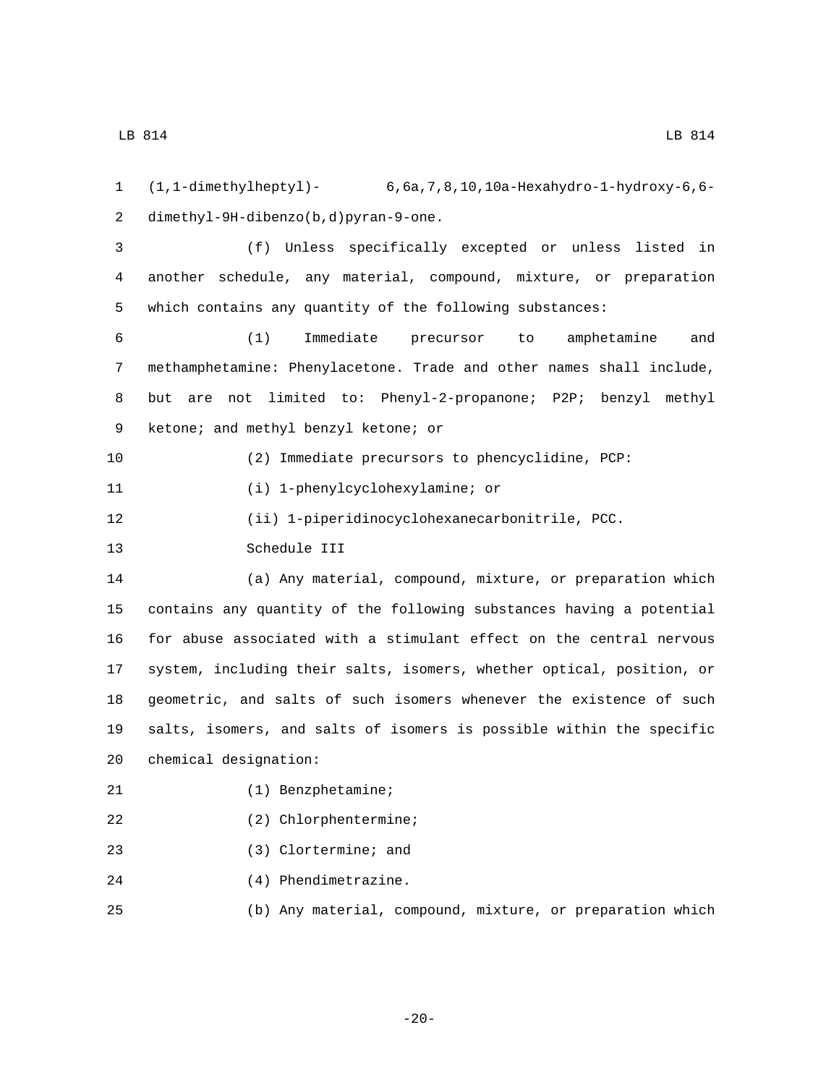1 (1,1-dimethylheptyl)- 6,6a,7,8,10,10a-Hexahydro-1-hydroxy-6,6 dimethyl-9H-dibenzo(b,d)pyran-9-one.2

3 (f) Unless specifically excepted or unless listed in 4 another schedule, any material, compound, mixture, or preparation 5 which contains any quantity of the following substances:

 (1) Immediate precursor to amphetamine and methamphetamine: Phenylacetone. Trade and other names shall include, but are not limited to: Phenyl-2-propanone; P2P; benzyl methyl 9 ketone; and methyl benzyl ketone; or

10 (2) Immediate precursors to phencyclidine, PCP:

11 (i) 1-phenylcyclohexylamine; or

12 (ii) 1-piperidinocyclohexanecarbonitrile, PCC.

13 Schedule III

 (a) Any material, compound, mixture, or preparation which contains any quantity of the following substances having a potential for abuse associated with a stimulant effect on the central nervous system, including their salts, isomers, whether optical, position, or geometric, and salts of such isomers whenever the existence of such salts, isomers, and salts of isomers is possible within the specific 20 chemical designation:

- 21 (1) Benzphetamine;
- (2) Chlorphentermine;
- (3) Clortermine; and
- 24 (4) Phendimetrazine.
- 25 (b) Any material, compound, mixture, or preparation which

-20-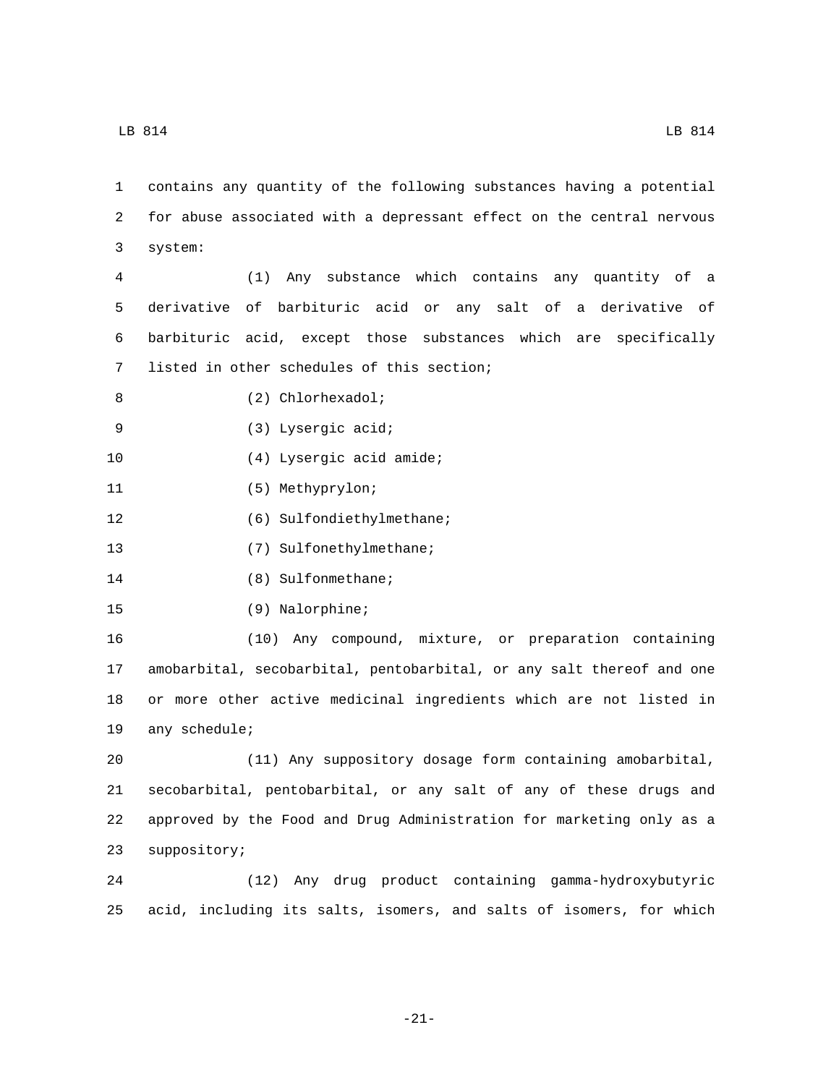1 contains any quantity of the following substances having a potential 2 for abuse associated with a depressant effect on the central nervous system:3

 (1) Any substance which contains any quantity of a derivative of barbituric acid or any salt of a derivative of barbituric acid, except those substances which are specifically 7 listed in other schedules of this section;

- 8 (2) Chlorhexadol;
- (3) Lysergic acid;9
- 10 (4) Lysergic acid amide;
- 11 (5) Methyprylon;
- 12 (6) Sulfondiethylmethane;
- 13 (7) Sulfonethylmethane;
- 14 (8) Sulfonmethane;
- 15 (9) Nalorphine;

 (10) Any compound, mixture, or preparation containing amobarbital, secobarbital, pentobarbital, or any salt thereof and one or more other active medicinal ingredients which are not listed in 19 any schedule;

 (11) Any suppository dosage form containing amobarbital, secobarbital, pentobarbital, or any salt of any of these drugs and approved by the Food and Drug Administration for marketing only as a 23 suppository;

24 (12) Any drug product containing gamma-hydroxybutyric 25 acid, including its salts, isomers, and salts of isomers, for which

-21-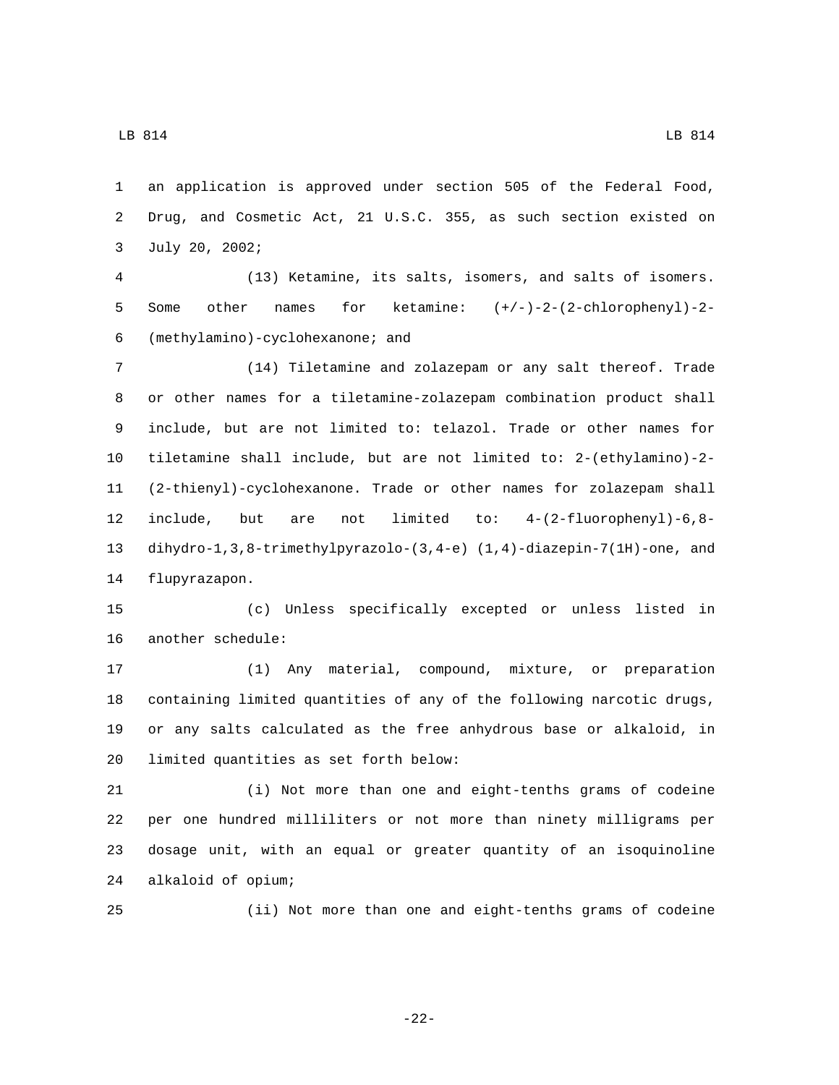an application is approved under section 505 of the Federal Food, Drug, and Cosmetic Act, 21 U.S.C. 355, as such section existed on 3 July 20, 2002;

 (13) Ketamine, its salts, isomers, and salts of isomers. Some other names for ketamine: (+/-)-2-(2-chlorophenyl)-2- (methylamino)-cyclohexanone; and6

 (14) Tiletamine and zolazepam or any salt thereof. Trade or other names for a tiletamine-zolazepam combination product shall include, but are not limited to: telazol. Trade or other names for tiletamine shall include, but are not limited to: 2-(ethylamino)-2- (2-thienyl)-cyclohexanone. Trade or other names for zolazepam shall include, but are not limited to: 4-(2-fluorophenyl)-6,8- dihydro-1,3,8-trimethylpyrazolo-(3,4-e) (1,4)-diazepin-7(1H)-one, and 14 flupyrazapon.

 (c) Unless specifically excepted or unless listed in 16 another schedule:

 (1) Any material, compound, mixture, or preparation containing limited quantities of any of the following narcotic drugs, or any salts calculated as the free anhydrous base or alkaloid, in 20 limited quantities as set forth below:

 (i) Not more than one and eight-tenths grams of codeine per one hundred milliliters or not more than ninety milligrams per dosage unit, with an equal or greater quantity of an isoquinoline alkaloid of opium;24

(ii) Not more than one and eight-tenths grams of codeine

-22-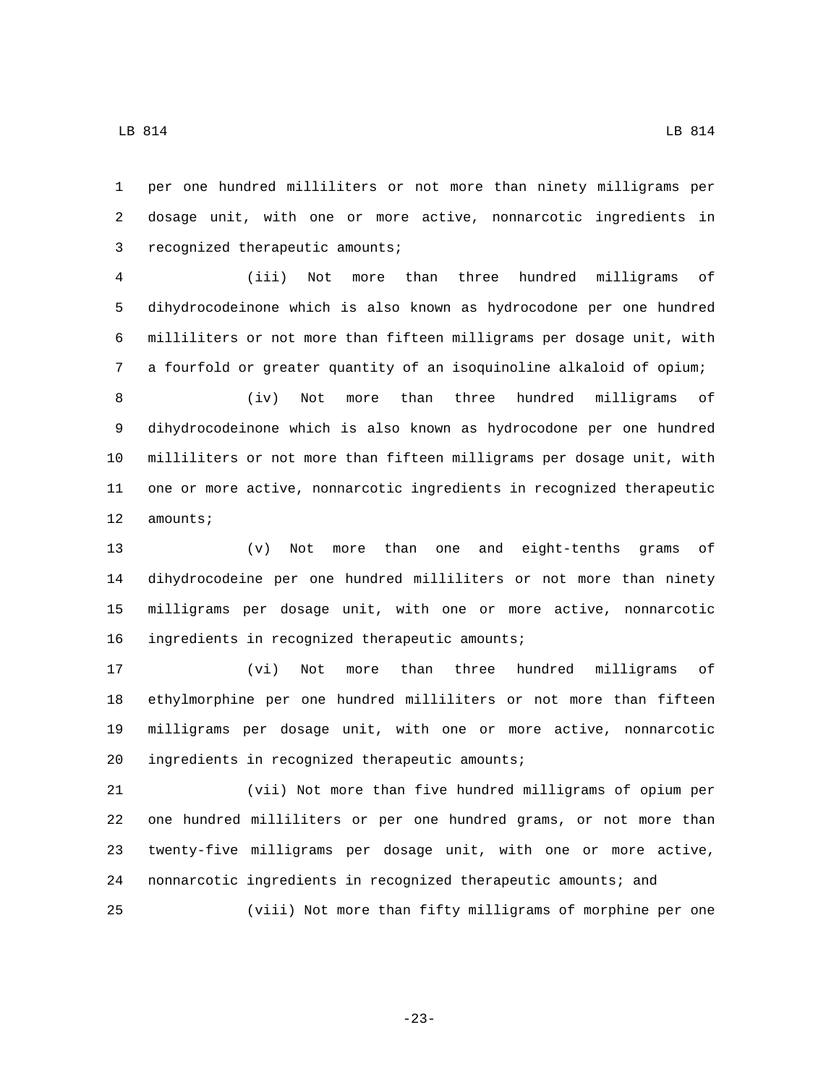per one hundred milliliters or not more than ninety milligrams per dosage unit, with one or more active, nonnarcotic ingredients in 3 recognized therapeutic amounts;

 (iii) Not more than three hundred milligrams of dihydrocodeinone which is also known as hydrocodone per one hundred milliliters or not more than fifteen milligrams per dosage unit, with a fourfold or greater quantity of an isoquinoline alkaloid of opium;

 (iv) Not more than three hundred milligrams of dihydrocodeinone which is also known as hydrocodone per one hundred milliliters or not more than fifteen milligrams per dosage unit, with one or more active, nonnarcotic ingredients in recognized therapeutic 12 amounts;

 (v) Not more than one and eight-tenths grams of dihydrocodeine per one hundred milliliters or not more than ninety milligrams per dosage unit, with one or more active, nonnarcotic 16 ingredients in recognized therapeutic amounts;

 (vi) Not more than three hundred milligrams of ethylmorphine per one hundred milliliters or not more than fifteen milligrams per dosage unit, with one or more active, nonnarcotic 20 ingredients in recognized therapeutic amounts;

 (vii) Not more than five hundred milligrams of opium per one hundred milliliters or per one hundred grams, or not more than twenty-five milligrams per dosage unit, with one or more active, nonnarcotic ingredients in recognized therapeutic amounts; and (viii) Not more than fifty milligrams of morphine per one

-23-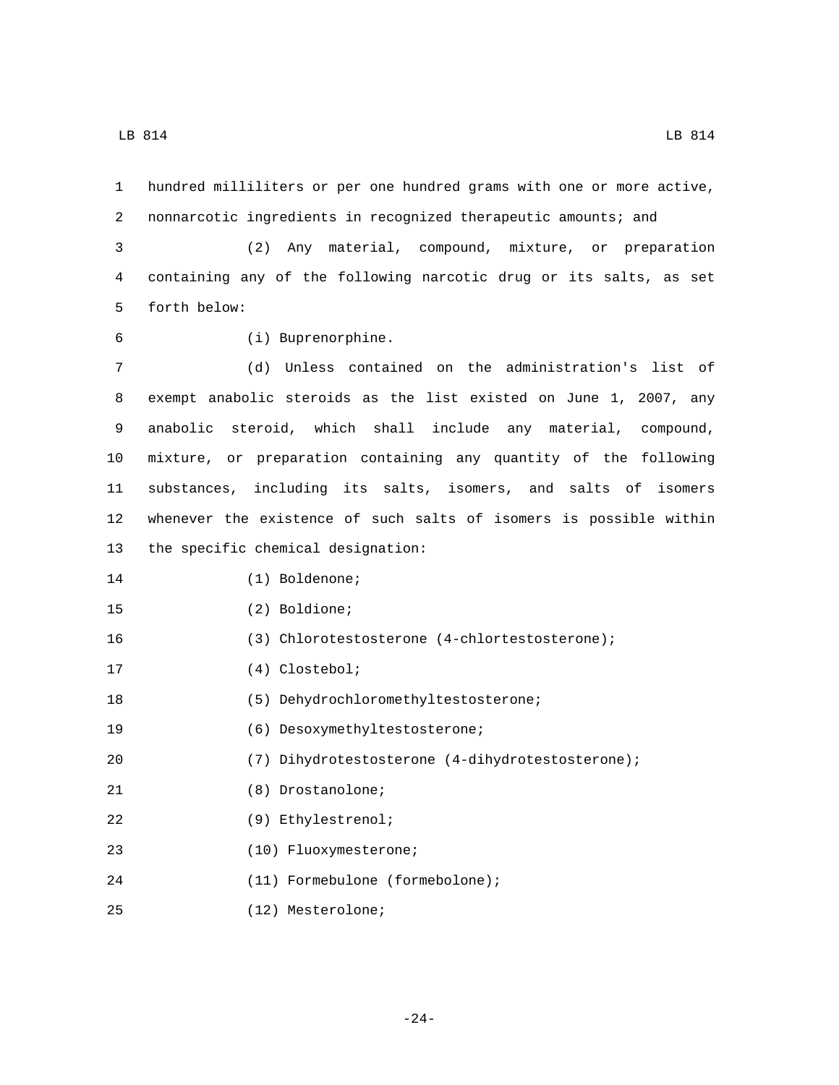1 hundred milliliters or per one hundred grams with one or more active, 2 nonnarcotic ingredients in recognized therapeutic amounts; and

3 (2) Any material, compound, mixture, or preparation 4 containing any of the following narcotic drug or its salts, as set 5 forth below:

- 
- (i) Buprenorphine.6

 (d) Unless contained on the administration's list of exempt anabolic steroids as the list existed on June 1, 2007, any anabolic steroid, which shall include any material, compound, mixture, or preparation containing any quantity of the following substances, including its salts, isomers, and salts of isomers whenever the existence of such salts of isomers is possible within 13 the specific chemical designation:

15 (2) Boldione;

16 (3) Chlorotestosterone (4-chlortestosterone);

17 (4) Clostebol;

18 (5) Dehydrochloromethyltestosterone;

19 (6) Desoxymethyltestosterone;

20 (7) Dihydrotestosterone (4-dihydrotestosterone);

- 21 (8) Drostanolone;
- (9) Ethylestrenol;22
- (10) Fluoxymesterone;23
- (11) Formebulone (formebolone);24
- (12) Mesterolone;25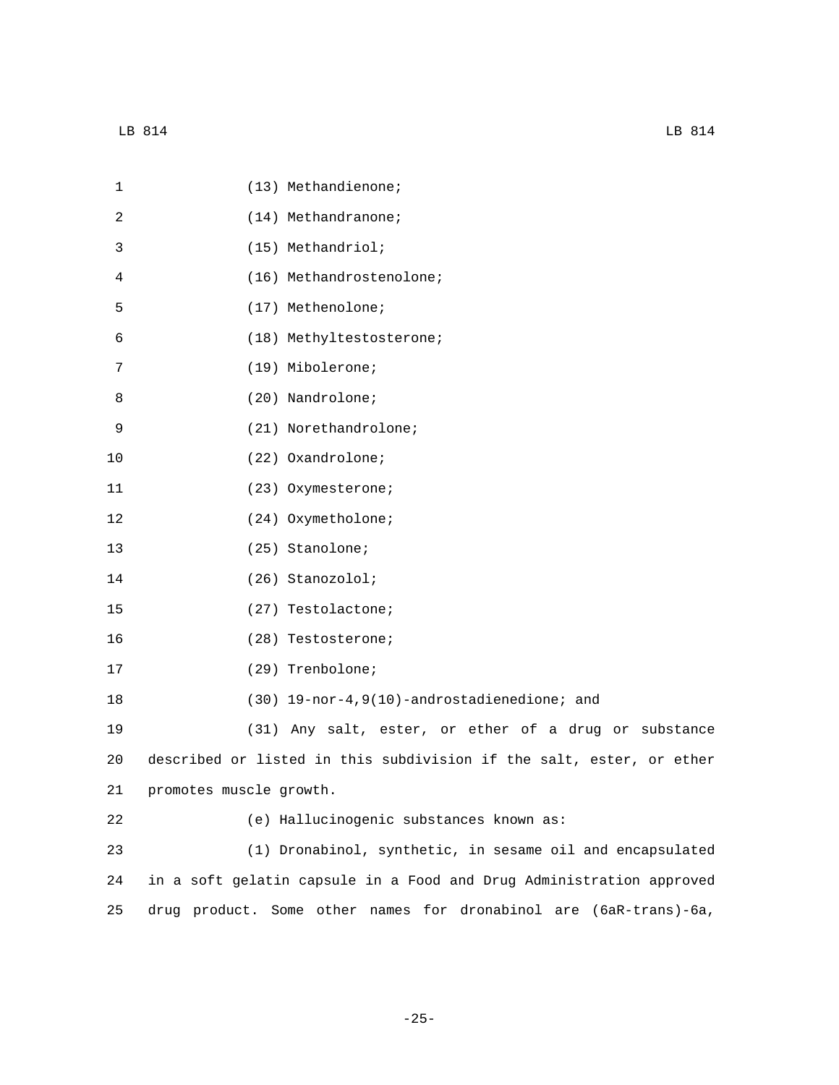| 1  | (13) Methandienone;                                                  |
|----|----------------------------------------------------------------------|
| 2  | (14) Methandranone;                                                  |
| 3  | (15) Methandriol;                                                    |
| 4  | (16) Methandrostenolone;                                             |
| 5  | (17) Methenolone;                                                    |
| 6  | (18) Methyltestosterone;                                             |
| 7  | (19) Mibolerone;                                                     |
| 8  | (20) Nandrolone;                                                     |
| 9  | (21) Norethandrolone;                                                |
| 10 | (22) Oxandrolone;                                                    |
| 11 | (23) Oxymesterone;                                                   |
| 12 | (24) Oxymetholone;                                                   |
| 13 | (25) Stanolone;                                                      |
| 14 | (26) Stanozolol;                                                     |
| 15 | (27) Testolactone;                                                   |
| 16 | (28) Testosterone;                                                   |
| 17 | (29) Trenbolone;                                                     |
| 18 | $(30)$ 19-nor-4,9(10)-androstadienedione; and                        |
| 19 | (31) Any salt, ester, or ether of a drug or substance                |
| 20 | described or listed in this subdivision if the salt, ester, or ether |
| 21 | promotes muscle growth.                                              |
| 22 | (e) Hallucinogenic substances known as:                              |
| 23 | (1) Dronabinol, synthetic, in sesame oil and encapsulated            |
| 24 | in a soft gelatin capsule in a Food and Drug Administration approved |
| 25 | Some other names for dronabinol are (6aR-trans)-6a,<br>drug product. |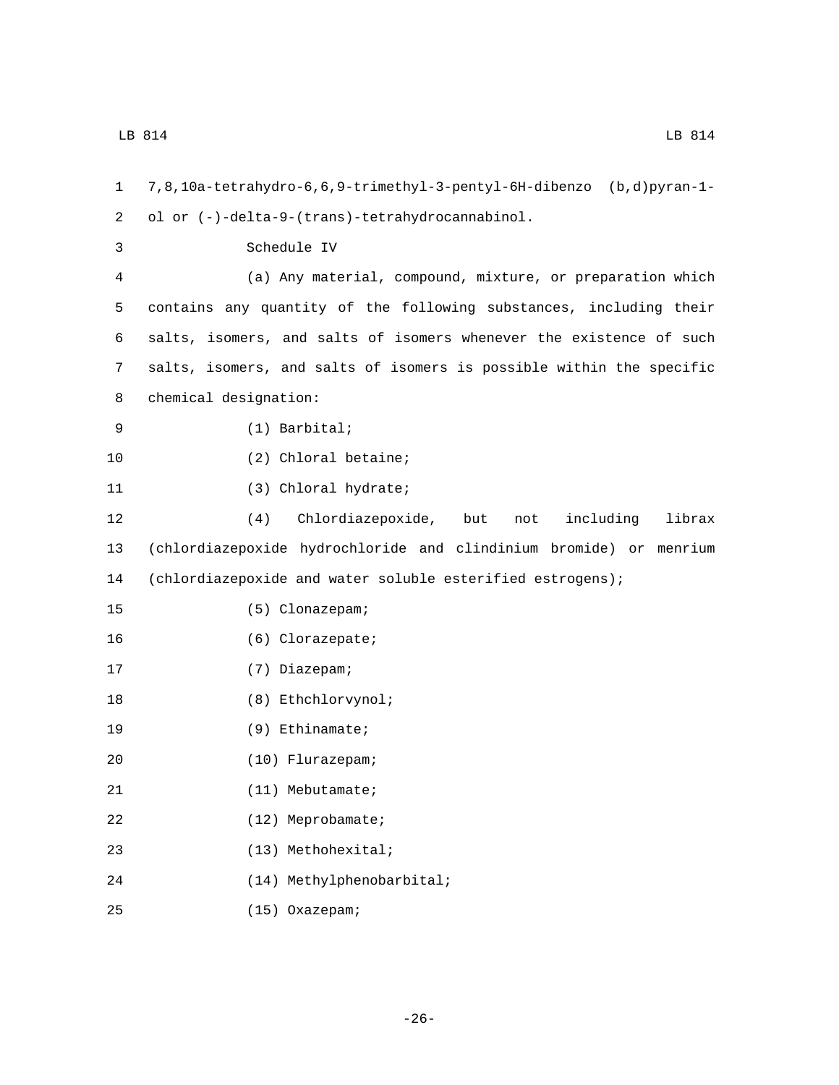1 7,8,10a-tetrahydro-6,6,9-trimethyl-3-pentyl-6H-dibenzo (b,d)pyran-1 ol or (-)-delta-9-(trans)-tetrahydrocannabinol.2 3 Schedule IV 4 (a) Any material, compound, mixture, or preparation which 5 contains any quantity of the following substances, including their 6 salts, isomers, and salts of isomers whenever the existence of such 7 salts, isomers, and salts of isomers is possible within the specific 8 chemical designation: (1) Barbital;9 10 (2) Chloral betaine; 11 (3) Chloral hydrate; 12 (4) Chlordiazepoxide, but not including librax 13 (chlordiazepoxide hydrochloride and clindinium bromide) or menrium 14 (chlordiazepoxide and water soluble esterified estrogens); (5) Clonazepam;15 16 (6) Clorazepate; 17 (7) Diazepam; 18 (8) Ethchlorvynol; 19 (9) Ethinamate; (10) Flurazepam;20 21 (11) Mebutamate; 22 (12) Meprobamate; (13) Methohexital;23 (14) Methylphenobarbital;24

(15) Oxazepam;25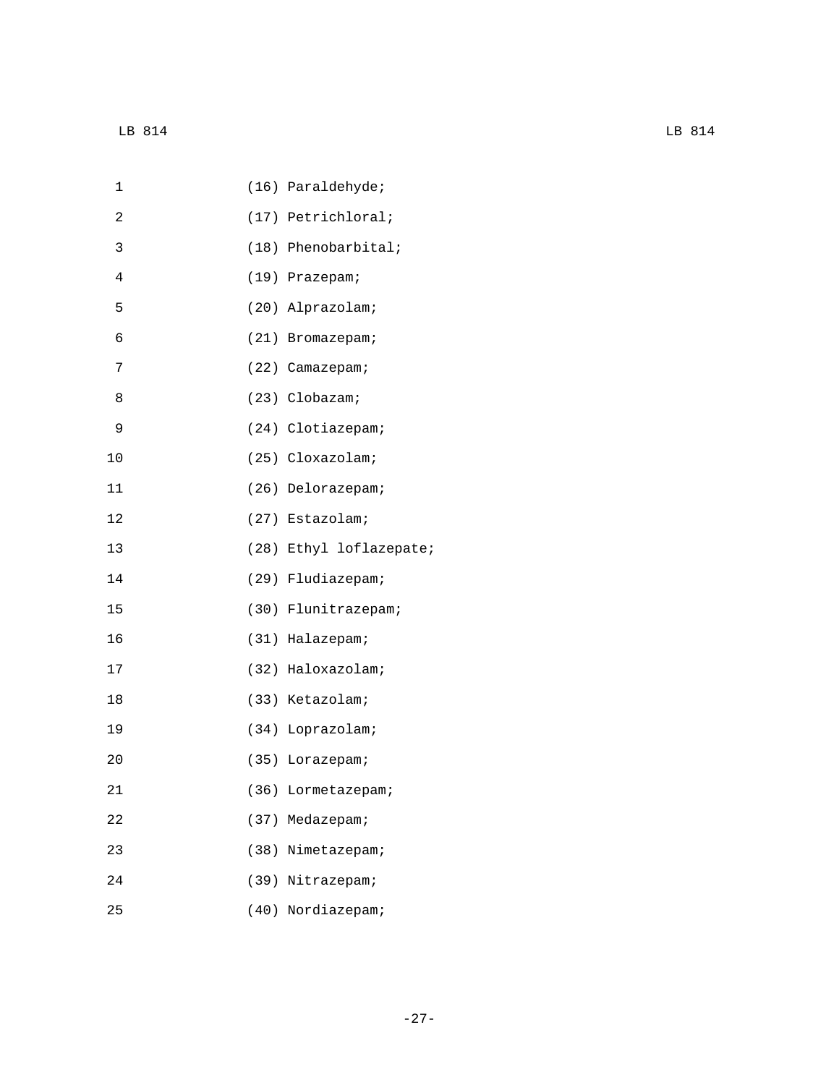| 2<br>(17) Petrichloral;<br>3<br>$(18)$ Phenobarbital;<br>$\overline{4}$<br>(19) Prazepam;<br>5<br>(20) Alprazolam;<br>6<br>(21) Bromazepam;<br>7<br>(22) Camazepam;<br>8<br>(23) Clobazam;<br>9<br>(24) Clotiazepam;<br>10<br>(25) Cloxazolam;<br>(26) Delorazepam;<br>11<br>12<br>(27) Estazolam;<br>13<br>(28) Ethyl loflazepate;<br>14<br>(29) Fludiazepam;<br>15<br>(30) Flunitrazepam;<br>16<br>(31) Halazepam;<br>17<br>(32) Haloxazolam;<br>18<br>(33) Ketazolam;<br>19<br>(34) Loprazolam;<br>20<br>(35) Lorazepam;<br>21<br>(36) Lormetazepam;<br>(37) Medazepam;<br>22<br>23<br>(38) Nimetazepam;<br>(39) Nitrazepam;<br>24<br>25<br>(40) Nordiazepam; | 1 | (16) Paraldehyde; |
|------------------------------------------------------------------------------------------------------------------------------------------------------------------------------------------------------------------------------------------------------------------------------------------------------------------------------------------------------------------------------------------------------------------------------------------------------------------------------------------------------------------------------------------------------------------------------------------------------------------------------------------------------------------|---|-------------------|
|                                                                                                                                                                                                                                                                                                                                                                                                                                                                                                                                                                                                                                                                  |   |                   |
|                                                                                                                                                                                                                                                                                                                                                                                                                                                                                                                                                                                                                                                                  |   |                   |
|                                                                                                                                                                                                                                                                                                                                                                                                                                                                                                                                                                                                                                                                  |   |                   |
|                                                                                                                                                                                                                                                                                                                                                                                                                                                                                                                                                                                                                                                                  |   |                   |
|                                                                                                                                                                                                                                                                                                                                                                                                                                                                                                                                                                                                                                                                  |   |                   |
|                                                                                                                                                                                                                                                                                                                                                                                                                                                                                                                                                                                                                                                                  |   |                   |
|                                                                                                                                                                                                                                                                                                                                                                                                                                                                                                                                                                                                                                                                  |   |                   |
|                                                                                                                                                                                                                                                                                                                                                                                                                                                                                                                                                                                                                                                                  |   |                   |
|                                                                                                                                                                                                                                                                                                                                                                                                                                                                                                                                                                                                                                                                  |   |                   |
|                                                                                                                                                                                                                                                                                                                                                                                                                                                                                                                                                                                                                                                                  |   |                   |
|                                                                                                                                                                                                                                                                                                                                                                                                                                                                                                                                                                                                                                                                  |   |                   |
|                                                                                                                                                                                                                                                                                                                                                                                                                                                                                                                                                                                                                                                                  |   |                   |
|                                                                                                                                                                                                                                                                                                                                                                                                                                                                                                                                                                                                                                                                  |   |                   |
|                                                                                                                                                                                                                                                                                                                                                                                                                                                                                                                                                                                                                                                                  |   |                   |
|                                                                                                                                                                                                                                                                                                                                                                                                                                                                                                                                                                                                                                                                  |   |                   |
|                                                                                                                                                                                                                                                                                                                                                                                                                                                                                                                                                                                                                                                                  |   |                   |
|                                                                                                                                                                                                                                                                                                                                                                                                                                                                                                                                                                                                                                                                  |   |                   |
|                                                                                                                                                                                                                                                                                                                                                                                                                                                                                                                                                                                                                                                                  |   |                   |
|                                                                                                                                                                                                                                                                                                                                                                                                                                                                                                                                                                                                                                                                  |   |                   |
|                                                                                                                                                                                                                                                                                                                                                                                                                                                                                                                                                                                                                                                                  |   |                   |
|                                                                                                                                                                                                                                                                                                                                                                                                                                                                                                                                                                                                                                                                  |   |                   |
|                                                                                                                                                                                                                                                                                                                                                                                                                                                                                                                                                                                                                                                                  |   |                   |
|                                                                                                                                                                                                                                                                                                                                                                                                                                                                                                                                                                                                                                                                  |   |                   |
|                                                                                                                                                                                                                                                                                                                                                                                                                                                                                                                                                                                                                                                                  |   |                   |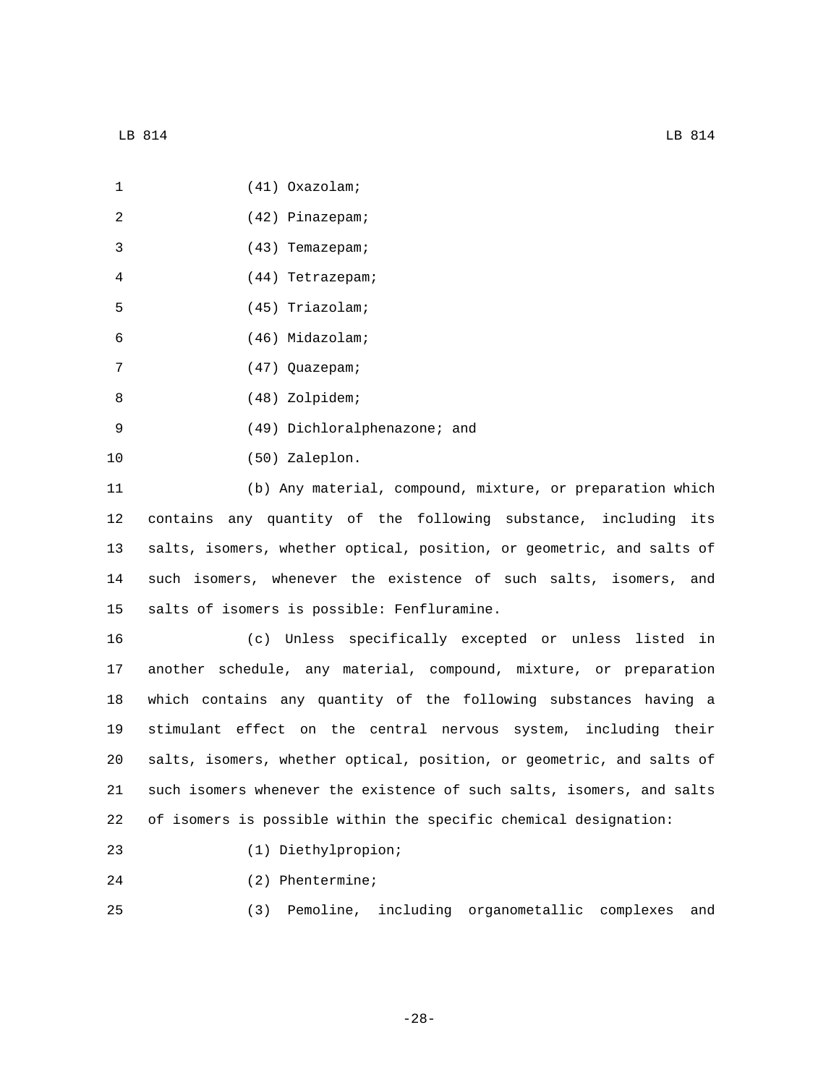| $\mathbf{1}$ | $(41)$ Oxazolam;                                                      |
|--------------|-----------------------------------------------------------------------|
| 2            | (42) Pinazepam;                                                       |
| 3            | (43) Temazepam;                                                       |
| 4            | (44) Tetrazepam;                                                      |
| 5            | (45) Triazolam;                                                       |
| 6            | (46) Midazolam;                                                       |
| 7            | (47) Quazepam;                                                        |
| 8            | (48) Zolpidem;                                                        |
| 9            | (49) Dichloralphenazone; and                                          |
| 10           | (50) Zaleplon.                                                        |
| 11           | (b) Any material, compound, mixture, or preparation which             |
| 12           | contains any quantity of the following substance, including its       |
| 13           | salts, isomers, whether optical, position, or geometric, and salts of |
| 14           | such isomers, whenever the existence of such salts, isomers, and      |

15 salts of isomers is possible: Fenfluramine.

 (c) Unless specifically excepted or unless listed in another schedule, any material, compound, mixture, or preparation which contains any quantity of the following substances having a stimulant effect on the central nervous system, including their salts, isomers, whether optical, position, or geometric, and salts of such isomers whenever the existence of such salts, isomers, and salts of isomers is possible within the specific chemical designation:

- (1) Diethylpropion;23
- 24 (2) Phentermine;

25 (3) Pemoline, including organometallic complexes and

-28-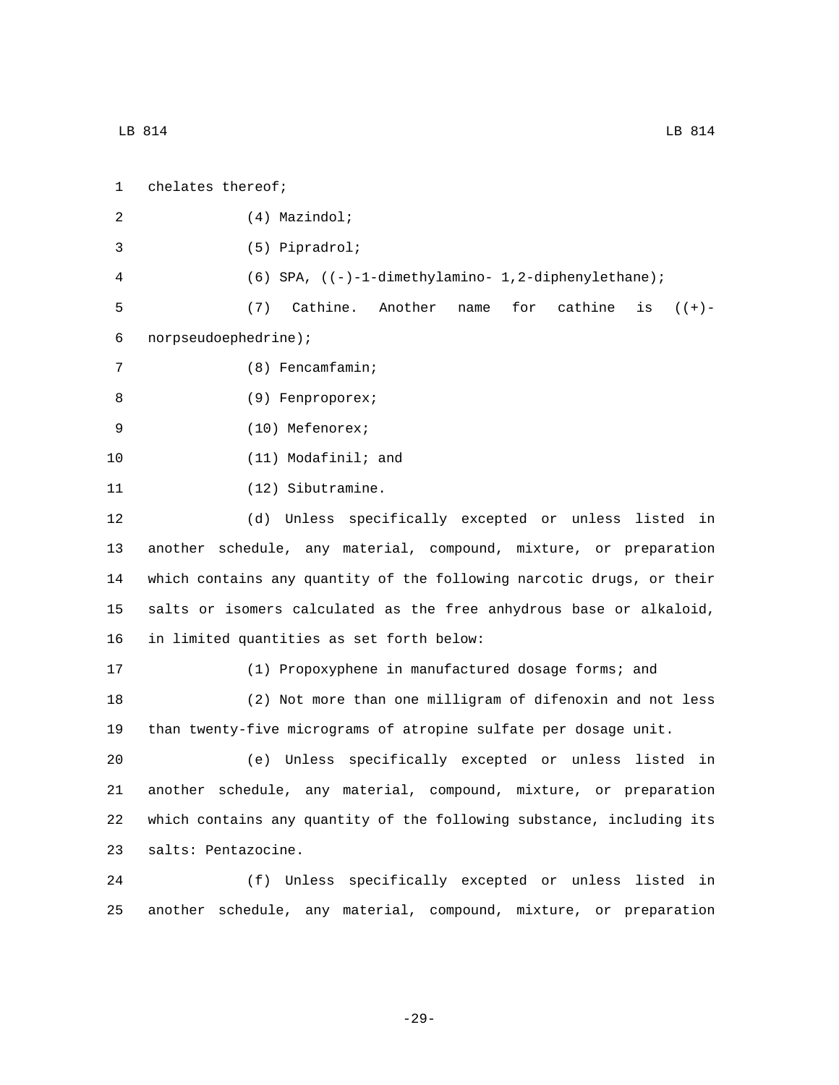| $\mathbf{1}$ | chelates thereof;                                       |
|--------------|---------------------------------------------------------|
| 2            | $(4)$ Mazindol;                                         |
| 3            | $(5)$ Pipradrol;                                        |
| 4            | $(6)$ SPA, $((-)-1-dimethylamino-1,2-diphenylethane)$ ; |

5 (7) Cathine. Another name for cathine is ((+) norpseudoephedrine);6

7 (8) Fencamfamin;

- 8 (9) Fenproporex;
- 9 (10) Mefenorex;
- 10 (11) Modafinil; and
- 11 (12) Sibutramine.

 (d) Unless specifically excepted or unless listed in another schedule, any material, compound, mixture, or preparation which contains any quantity of the following narcotic drugs, or their salts or isomers calculated as the free anhydrous base or alkaloid, 16 in limited quantities as set forth below:

17 (1) Propoxyphene in manufactured dosage forms; and 18 (2) Not more than one milligram of difenoxin and not less 19 than twenty-five micrograms of atropine sulfate per dosage unit.

 (e) Unless specifically excepted or unless listed in another schedule, any material, compound, mixture, or preparation which contains any quantity of the following substance, including its 23 salts: Pentazocine.

24 (f) Unless specifically excepted or unless listed in 25 another schedule, any material, compound, mixture, or preparation

-29-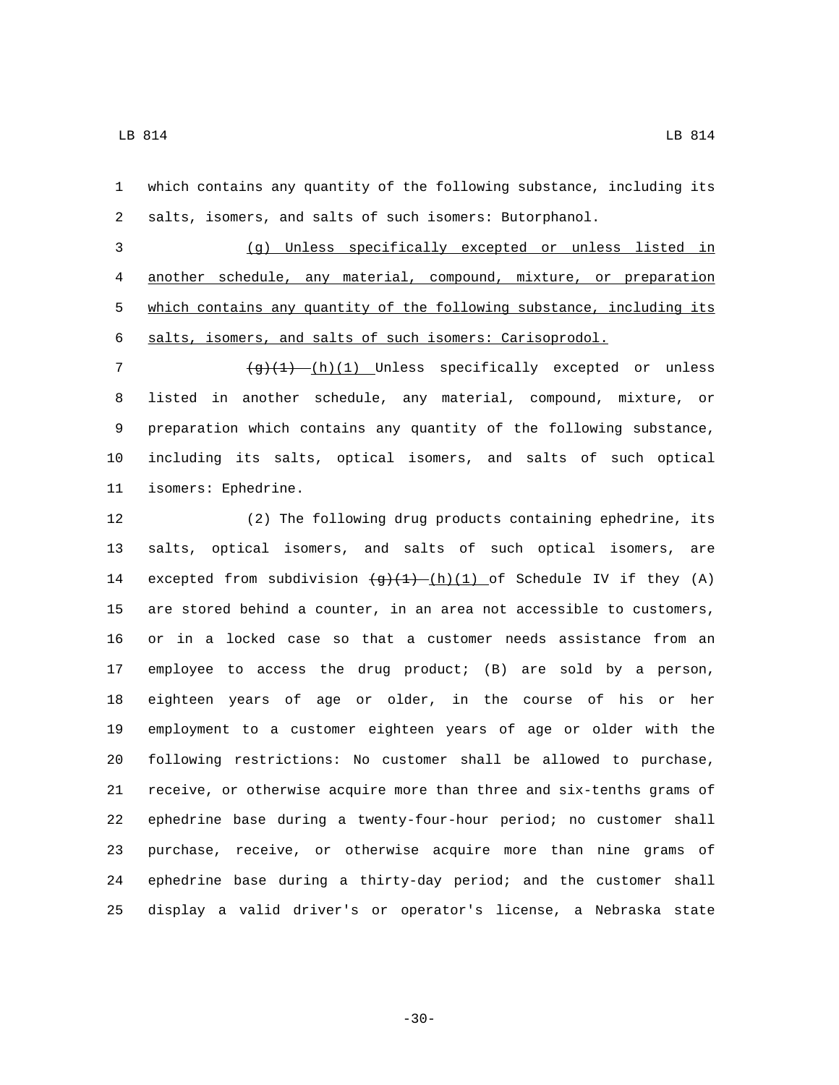which contains any quantity of the following substance, including its salts, isomers, and salts of such isomers: Butorphanol.

 (g) Unless specifically excepted or unless listed in another schedule, any material, compound, mixture, or preparation 5 which contains any quantity of the following substance, including its salts, isomers, and salts of such isomers: Carisoprodol.

 $\frac{g+(1)_{1}(1)}{h(1)}$  Unless specifically excepted or unless listed in another schedule, any material, compound, mixture, or preparation which contains any quantity of the following substance, including its salts, optical isomers, and salts of such optical 11 isomers: Ephedrine.

 (2) The following drug products containing ephedrine, its salts, optical isomers, and salts of such optical isomers, are 14 excepted from subdivision  $\frac{q+(1)}{h}(1)$  of Schedule IV if they (A) are stored behind a counter, in an area not accessible to customers, or in a locked case so that a customer needs assistance from an employee to access the drug product; (B) are sold by a person, eighteen years of age or older, in the course of his or her employment to a customer eighteen years of age or older with the following restrictions: No customer shall be allowed to purchase, receive, or otherwise acquire more than three and six-tenths grams of ephedrine base during a twenty-four-hour period; no customer shall purchase, receive, or otherwise acquire more than nine grams of ephedrine base during a thirty-day period; and the customer shall display a valid driver's or operator's license, a Nebraska state

-30-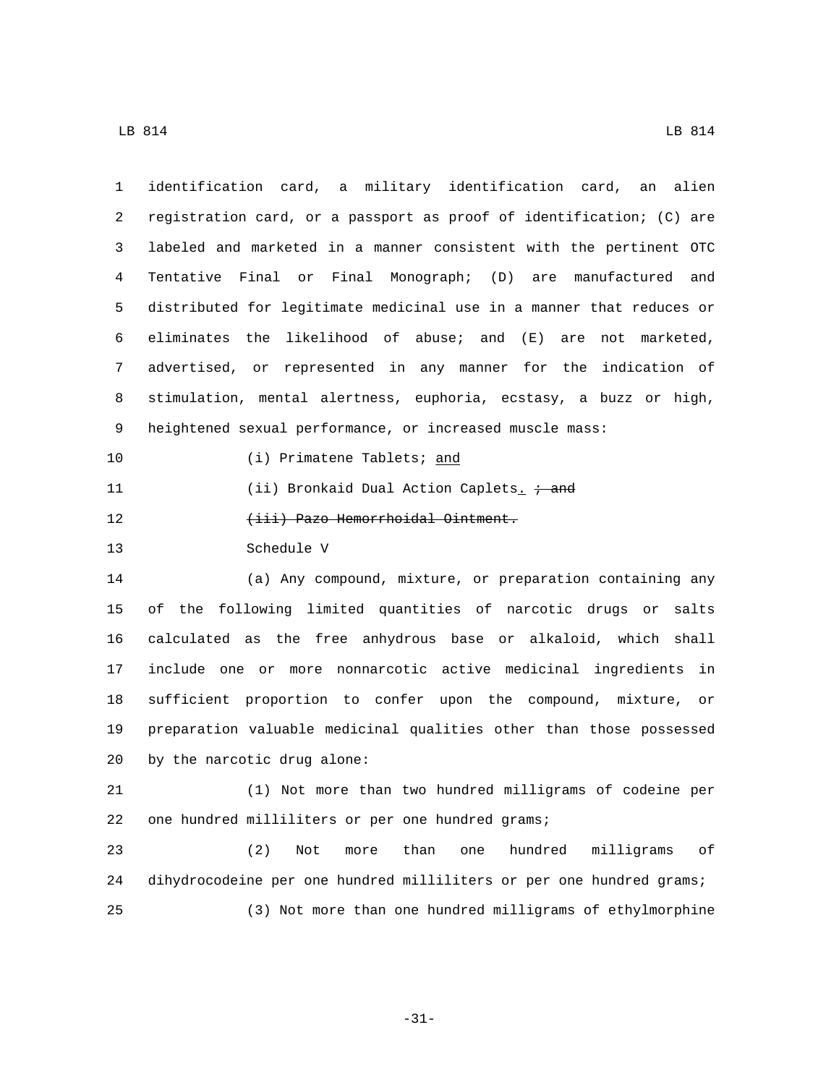| $\mathbf{1}$ | identification card, a military identification card, an alien        |
|--------------|----------------------------------------------------------------------|
| 2            | registration card, or a passport as proof of identification; (C) are |
| 3            | labeled and marketed in a manner consistent with the pertinent OTC   |
| 4            | Tentative Final or Final Monograph; (D) are manufactured and         |
| 5            | distributed for legitimate medicinal use in a manner that reduces or |
| б            | eliminates the likelihood of abuse; and (E)<br>are not marketed,     |
| 7            | advertised, or represented in any manner for the indication of       |
| 8            | stimulation, mental alertness, euphoria, ecstasy, a buzz or high,    |
| 9            | heightened sexual performance, or increased muscle mass:             |
| 10           | (i) Primatene Tablets; and                                           |
| 11           | (ii) Bronkaid Dual Action Caplets. $\div$ and                        |
| 12           | (iii) Pazo Hemorrhoidal Ointment.                                    |
| 13           | Schedule V                                                           |
| 14           | (a) Any compound, mixture, or preparation containing any             |
| 15           | of the following limited quantities of narcotic drugs or salts       |
| 16           | calculated as the free anhydrous base or alkaloid, which shall       |
| 17           | include one or more nonnarcotic active medicinal ingredients<br>in   |
| 18           | sufficient proportion to confer upon the compound, mixture, or       |
| 19           | preparation valuable medicinal qualities other than those possessed  |
| 20           | by the narcotic drug alone:                                          |
| 21           | (1) Not more than two hundred milligrams of codeine per              |
| 22           | one hundred milliliters or per one hundred grams;                    |
| 23           | (2)<br>hundred<br>than<br>milligrams<br>оf<br>Not<br>one<br>more     |
| 24           | dihydrocodeine per one hundred milliliters or per one hundred grams; |
| 25           | (3) Not more than one hundred milligrams of ethylmorphine            |
|              |                                                                      |

-31-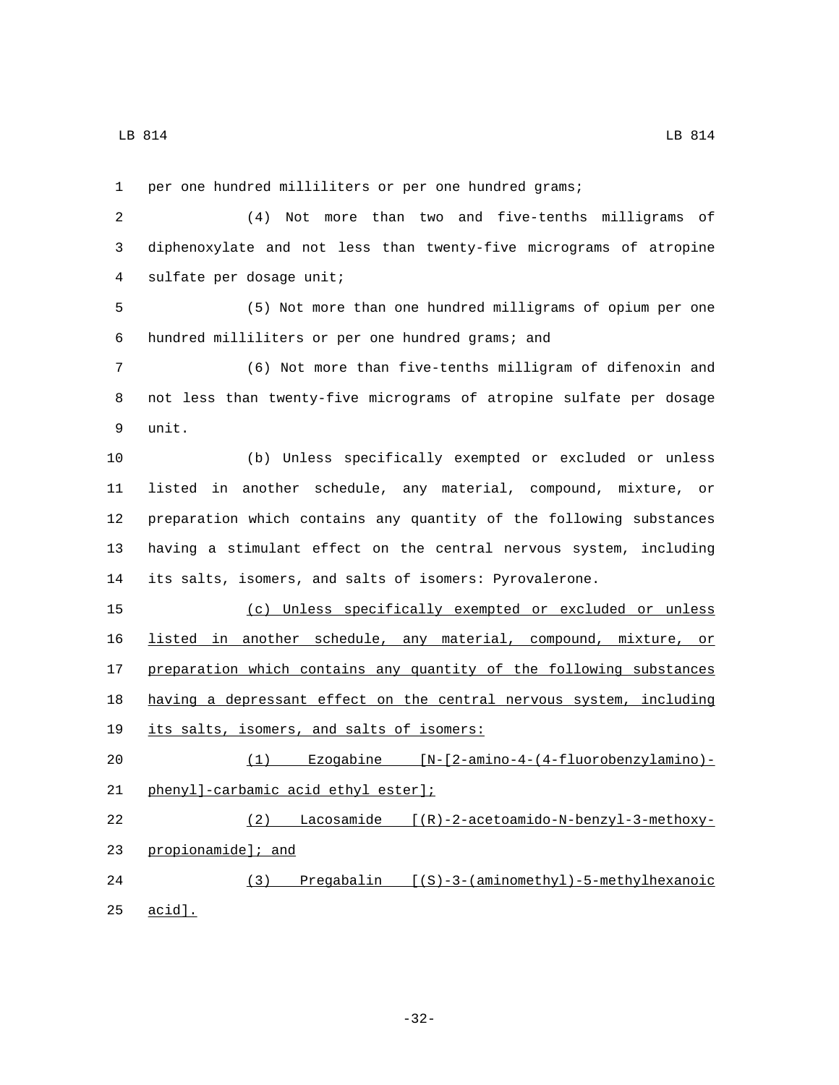LB 814 LB 814

 per one hundred milliliters or per one hundred grams; (4) Not more than two and five-tenths milligrams of diphenoxylate and not less than twenty-five micrograms of atropine 4 sulfate per dosage unit; (5) Not more than one hundred milligrams of opium per one hundred milliliters or per one hundred grams; and6 (6) Not more than five-tenths milligram of difenoxin and not less than twenty-five micrograms of atropine sulfate per dosage 9 unit. (b) Unless specifically exempted or excluded or unless listed in another schedule, any material, compound, mixture, or preparation which contains any quantity of the following substances having a stimulant effect on the central nervous system, including its salts, isomers, and salts of isomers: Pyrovalerone. (c) Unless specifically exempted or excluded or unless listed in another schedule, any material, compound, mixture, or 17 preparation which contains any quantity of the following substances having a depressant effect on the central nervous system, including 19 its salts, isomers, and salts of isomers: (1) Ezogabine [N-[2-amino-4-(4-fluorobenzylamino)- 21 phenyl]-carbamic acid ethyl ester]; (2) Lacosamide [(R)-2-acetoamido-N-benzyl-3-methoxy-23 propionamide]; and (3) Pregabalin [(S)-3-(aminomethyl)-5-methylhexanoic 25 acid].

-32-